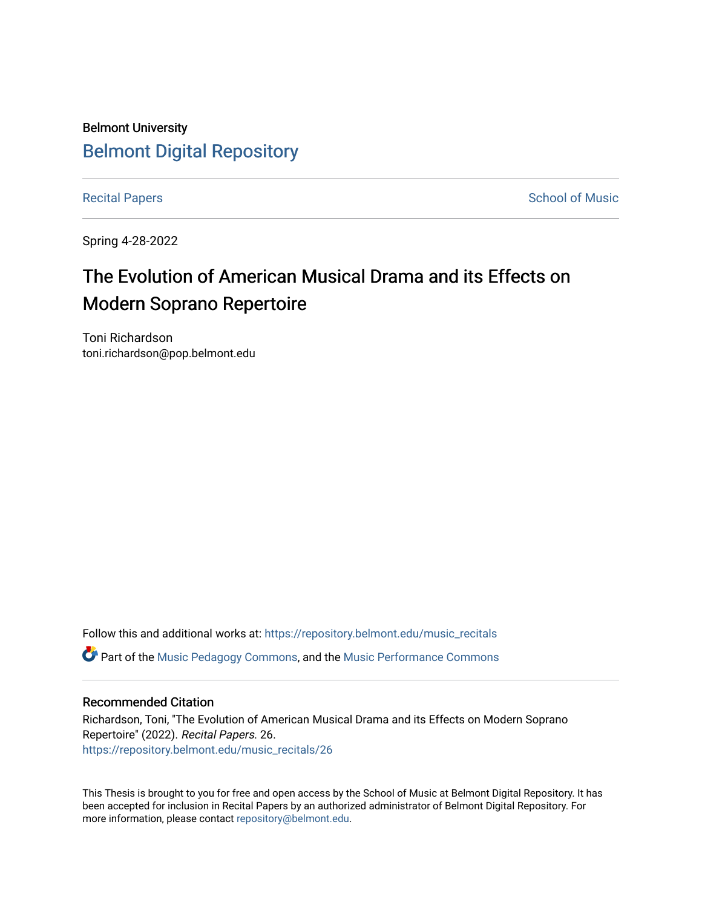## Belmont University [Belmont Digital Repository](https://repository.belmont.edu/)

[Recital Papers](https://repository.belmont.edu/music_recitals) **School of Music** 

Spring 4-28-2022

# The Evolution of American Musical Drama and its Effects on Modern Soprano Repertoire

Toni Richardson toni.richardson@pop.belmont.edu

Follow this and additional works at: [https://repository.belmont.edu/music\\_recitals](https://repository.belmont.edu/music_recitals?utm_source=repository.belmont.edu%2Fmusic_recitals%2F26&utm_medium=PDF&utm_campaign=PDFCoverPages)  Part of the [Music Pedagogy Commons,](http://network.bepress.com/hgg/discipline/1129?utm_source=repository.belmont.edu%2Fmusic_recitals%2F26&utm_medium=PDF&utm_campaign=PDFCoverPages) and the [Music Performance Commons](http://network.bepress.com/hgg/discipline/1128?utm_source=repository.belmont.edu%2Fmusic_recitals%2F26&utm_medium=PDF&utm_campaign=PDFCoverPages) 

#### Recommended Citation

Richardson, Toni, "The Evolution of American Musical Drama and its Effects on Modern Soprano Repertoire" (2022). Recital Papers. 26. [https://repository.belmont.edu/music\\_recitals/26](https://repository.belmont.edu/music_recitals/26?utm_source=repository.belmont.edu%2Fmusic_recitals%2F26&utm_medium=PDF&utm_campaign=PDFCoverPages)

This Thesis is brought to you for free and open access by the School of Music at Belmont Digital Repository. It has been accepted for inclusion in Recital Papers by an authorized administrator of Belmont Digital Repository. For more information, please contact [repository@belmont.edu.](mailto:repository@belmont.edu)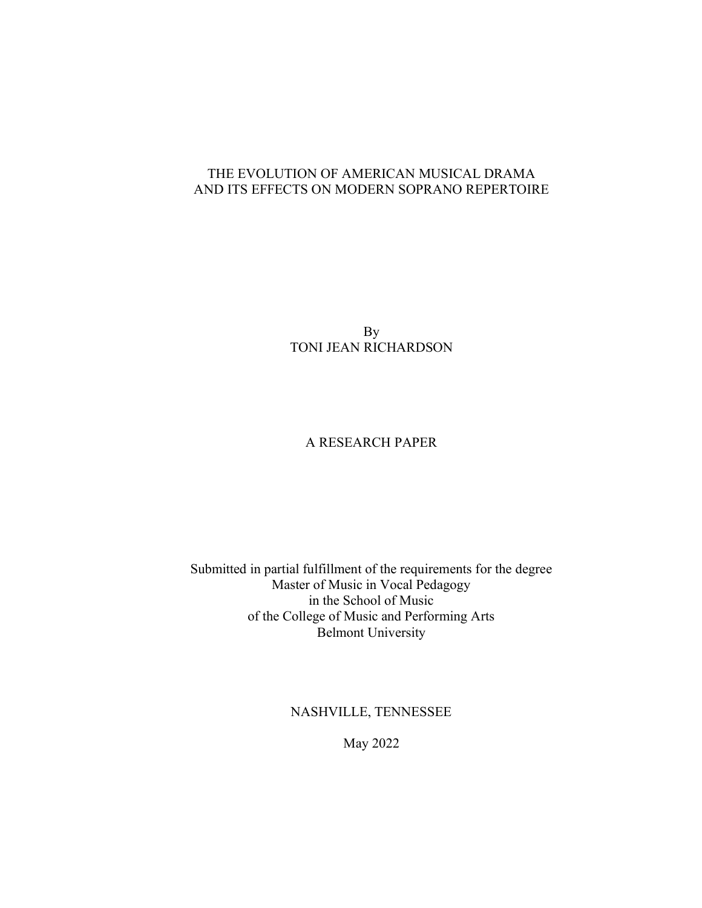### THE EVOLUTION OF AMERICAN MUSICAL DRAMA AND ITS EFFECTS ON MODERN SOPRANO REPERTOIRE

By TONI JEAN RICHARDSON

## A RESEARCH PAPER

Submitted in partial fulfillment of the requirements for the degree Master of Music in Vocal Pedagogy in the School of Music of the College of Music and Performing Arts Belmont University

NASHVILLE, TENNESSEE

May 2022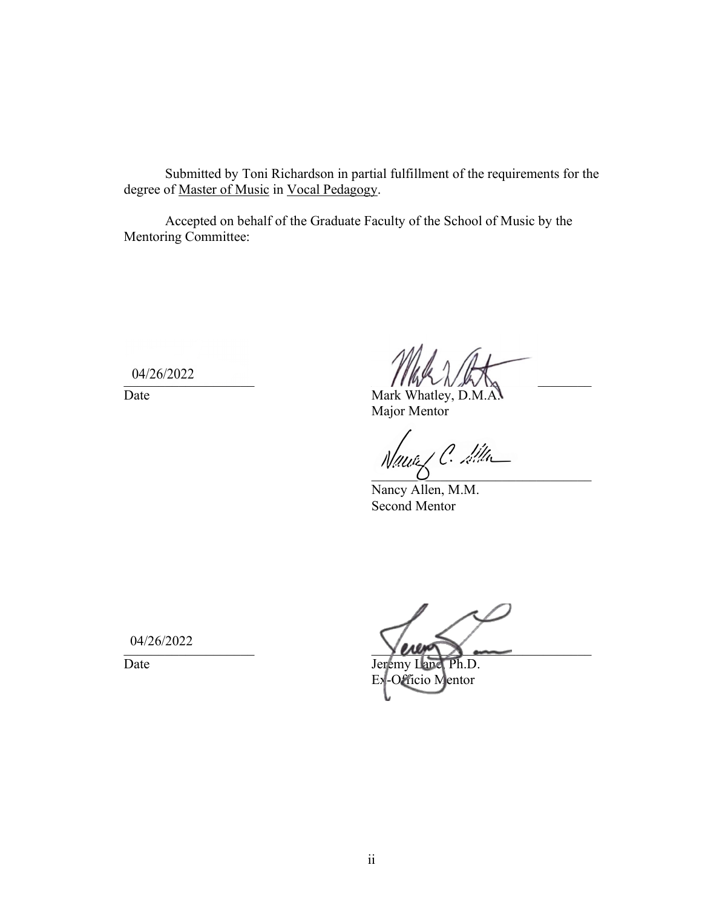Submitted by Toni Richardson in partial fulfillment of the requirements for the degree of Master of Music in Vocal Pedagogy.

Accepted on behalf of the Graduate Faculty of the School of Music by the Mentoring Committee:

04/26/2022

 $U^{4/20/2022}$  and  $1/10$   $1/10$   $1/10$   $1/10$   $1/10$   $1/10$   $1/10$   $1/10$   $1/10$   $1/10$   $1/10$   $1/10$   $1/10$   $1/10$   $1/10$   $1/10$   $1/10$   $1/10$   $1/10$   $1/10$   $1/10$   $1/10$   $1/10$   $1/10$   $1/10$   $1/10$   $1/10$   $1/10$   $1/10$ 

Date Mark Whatley, D.M.A. Major Mentor

 $\overline{O}$ 

Nancy Allen, M.M. Second Mentor

04/26/2022

 $V$  and  $V$  and  $V$  and  $V$  and  $V$  and  $V$  and  $V$  and  $V$  and  $V$  and  $V$  and  $V$  and  $V$  and  $V$  and  $V$  and  $V$  and  $V$  and  $V$  and  $V$  and  $V$  and  $V$  and  $V$  and  $V$  and  $V$  and  $V$  and  $V$  and  $V$  and  $V$  and  $V$  a

Date Jeremy Lanc Ph.D. Ex-Officio Mentor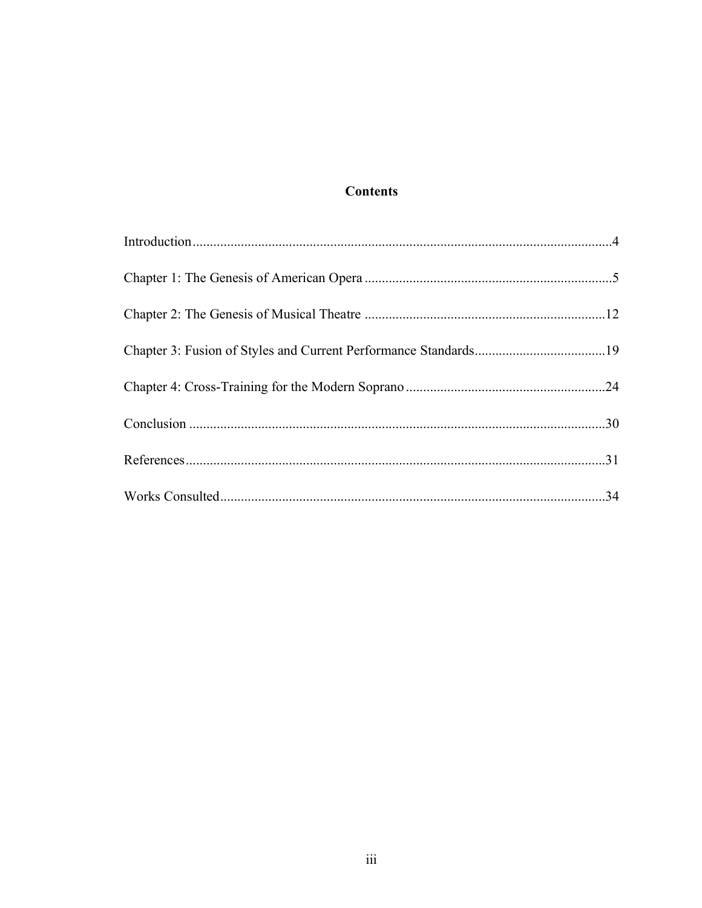## **Contents**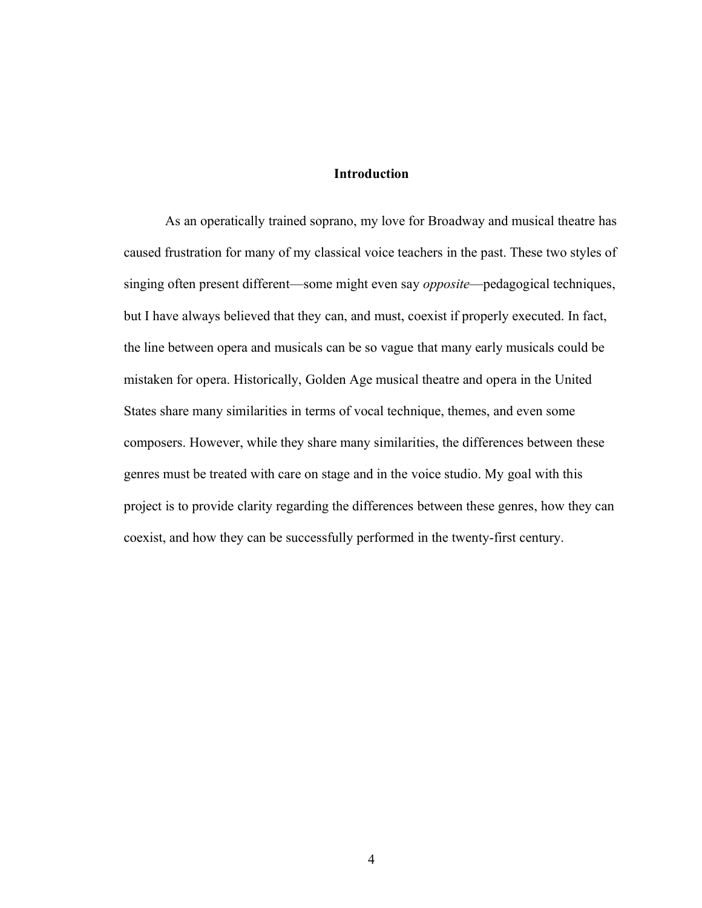#### **Introduction**

As an operatically trained soprano, my love for Broadway and musical theatre has caused frustration for many of my classical voice teachers in the past. These two styles of singing often present different—some might even say *opposite*—pedagogical techniques, but I have always believed that they can, and must, coexist if properly executed. In fact, the line between opera and musicals can be so vague that many early musicals could be mistaken for opera. Historically, Golden Age musical theatre and opera in the United States share many similarities in terms of vocal technique, themes, and even some composers. However, while they share many similarities, the differences between these genres must be treated with care on stage and in the voice studio. My goal with this project is to provide clarity regarding the differences between these genres, how they can coexist, and how they can be successfully performed in the twenty-first century.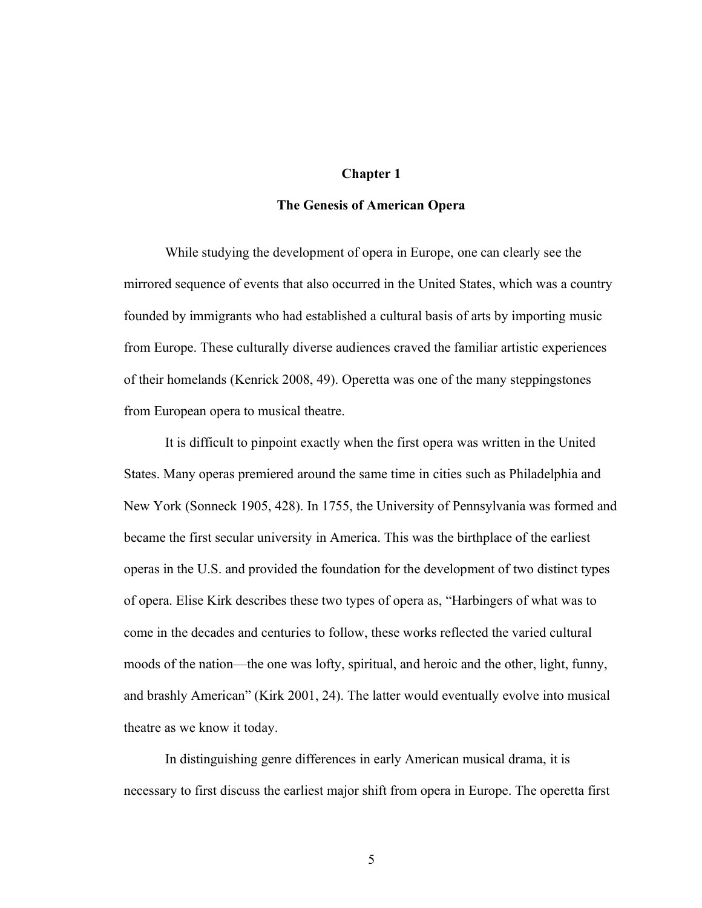#### **Chapter 1**

#### **The Genesis of American Opera**

While studying the development of opera in Europe, one can clearly see the mirrored sequence of events that also occurred in the United States, which was a country founded by immigrants who had established a cultural basis of arts by importing music from Europe. These culturally diverse audiences craved the familiar artistic experiences of their homelands (Kenrick 2008, 49). Operetta was one of the many steppingstones from European opera to musical theatre.

It is difficult to pinpoint exactly when the first opera was written in the United States. Many operas premiered around the same time in cities such as Philadelphia and New York (Sonneck 1905, 428). In 1755, the University of Pennsylvania was formed and became the first secular university in America. This was the birthplace of the earliest operas in the U.S. and provided the foundation for the development of two distinct types of opera. Elise Kirk describes these two types of opera as, "Harbingers of what was to come in the decades and centuries to follow, these works reflected the varied cultural moods of the nation—the one was lofty, spiritual, and heroic and the other, light, funny, and brashly American" (Kirk 2001, 24). The latter would eventually evolve into musical theatre as we know it today.

In distinguishing genre differences in early American musical drama, it is necessary to first discuss the earliest major shift from opera in Europe. The operetta first

5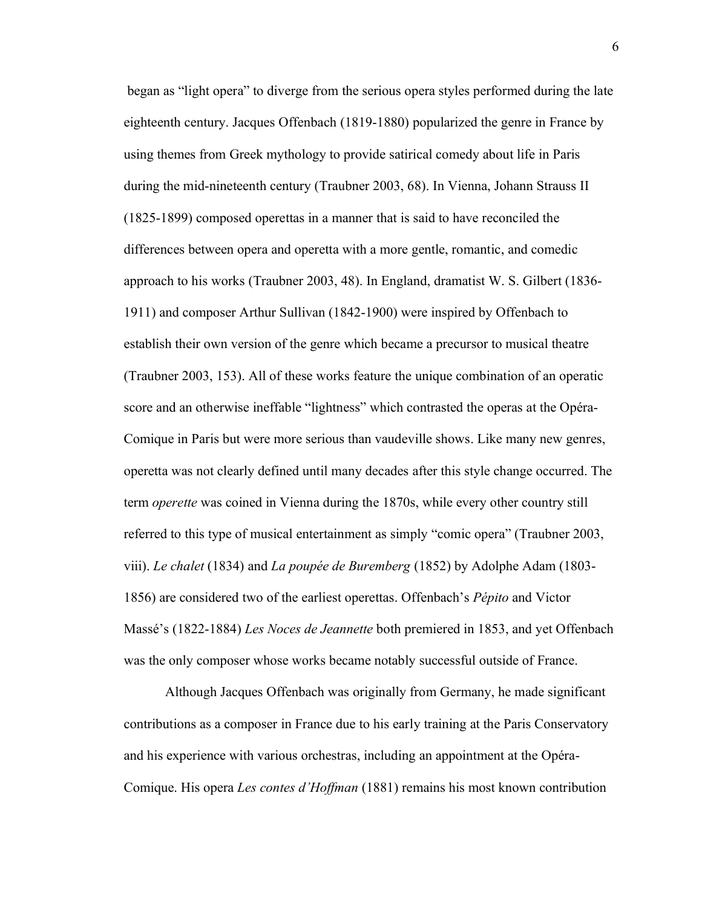began as "light opera" to diverge from the serious opera styles performed during the late eighteenth century. Jacques Offenbach (1819-1880) popularized the genre in France by using themes from Greek mythology to provide satirical comedy about life in Paris during the mid-nineteenth century (Traubner 2003, 68). In Vienna, Johann Strauss II (1825-1899) composed operettas in a manner that is said to have reconciled the differences between opera and operetta with a more gentle, romantic, and comedic approach to his works (Traubner 2003, 48). In England, dramatist W. S. Gilbert (1836- 1911) and composer Arthur Sullivan (1842-1900) were inspired by Offenbach to establish their own version of the genre which became a precursor to musical theatre (Traubner 2003, 153). All of these works feature the unique combination of an operatic score and an otherwise ineffable "lightness" which contrasted the operas at the Opéra-Comique in Paris but were more serious than vaudeville shows. Like many new genres, operetta was not clearly defined until many decades after this style change occurred. The term *operette* was coined in Vienna during the 1870s, while every other country still referred to this type of musical entertainment as simply "comic opera" (Traubner 2003, viii). *Le chalet* (1834) and *La poupée de Buremberg* (1852) by Adolphe Adam (1803- 1856) are considered two of the earliest operettas. Offenbach's *Pépito* and Victor Massé's (1822-1884) *Les Noces de Jeannette* both premiered in 1853, and yet Offenbach was the only composer whose works became notably successful outside of France.

Although Jacques Offenbach was originally from Germany, he made significant contributions as a composer in France due to his early training at the Paris Conservatory and his experience with various orchestras, including an appointment at the Opéra-Comique. His opera *Les contes d'Hoffman* (1881) remains his most known contribution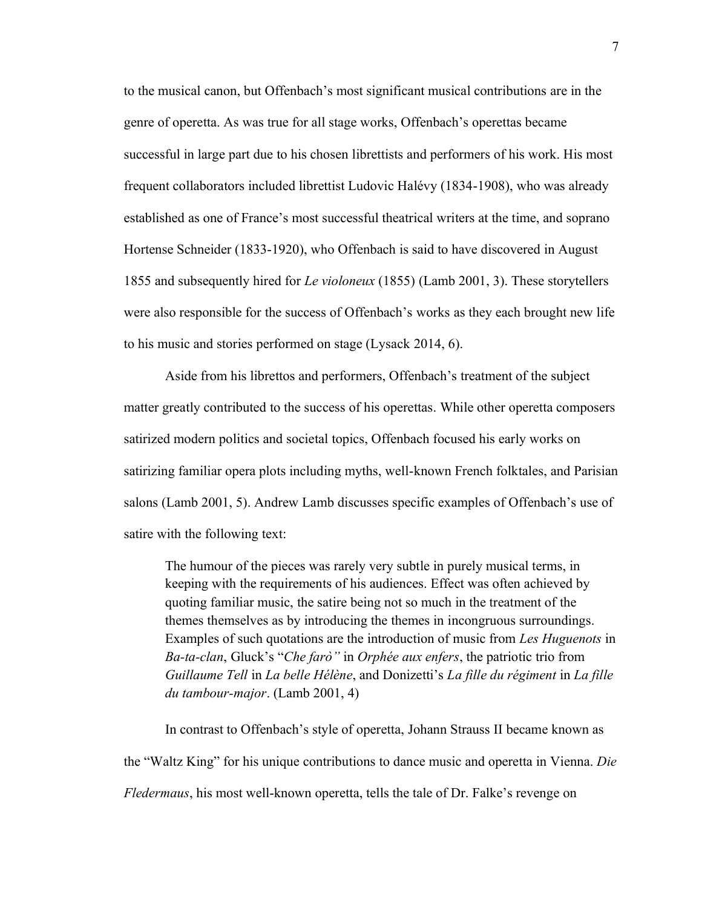to the musical canon, but Offenbach's most significant musical contributions are in the genre of operetta. As was true for all stage works, Offenbach's operettas became successful in large part due to his chosen librettists and performers of his work. His most frequent collaborators included librettist Ludovic Halévy (1834-1908), who was already established as one of France's most successful theatrical writers at the time, and soprano Hortense Schneider (1833-1920), who Offenbach is said to have discovered in August 1855 and subsequently hired for *Le violoneux* (1855) (Lamb 2001, 3). These storytellers were also responsible for the success of Offenbach's works as they each brought new life to his music and stories performed on stage (Lysack 2014, 6).

Aside from his librettos and performers, Offenbach's treatment of the subject matter greatly contributed to the success of his operettas. While other operetta composers satirized modern politics and societal topics, Offenbach focused his early works on satirizing familiar opera plots including myths, well-known French folktales, and Parisian salons (Lamb 2001, 5). Andrew Lamb discusses specific examples of Offenbach's use of satire with the following text:

The humour of the pieces was rarely very subtle in purely musical terms, in keeping with the requirements of his audiences. Effect was often achieved by quoting familiar music, the satire being not so much in the treatment of the themes themselves as by introducing the themes in incongruous surroundings. Examples of such quotations are the introduction of music from *Les Huguenots* in *Ba-ta-clan*, Gluck's "*Che farò*" in *Orphée aux enfers*, the patriotic trio from *Guillaume Tell* in *La belle Hélène*, and Donizetti's *La fille du régiment* in *La fille du tambour-major*. (Lamb 2001, 4)

In contrast to Offenbach's style of operetta, Johann Strauss II became known as the "Waltz King" for his unique contributions to dance music and operetta in Vienna. *Die Fledermaus*, his most well-known operetta, tells the tale of Dr. Falke's revenge on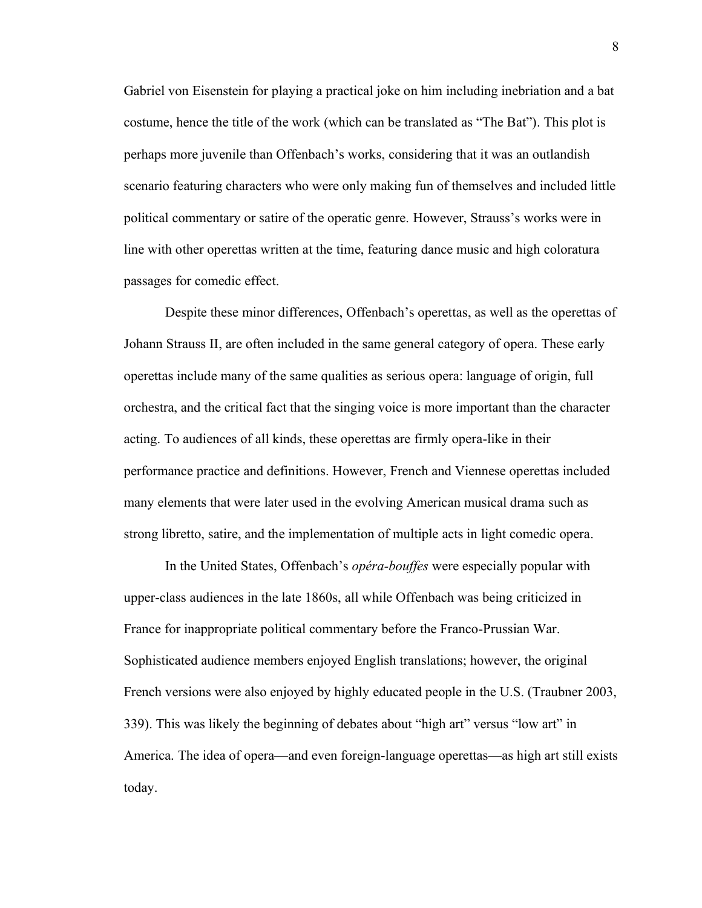Gabriel von Eisenstein for playing a practical joke on him including inebriation and a bat costume, hence the title of the work (which can be translated as "The Bat"). This plot is perhaps more juvenile than Offenbach's works, considering that it was an outlandish scenario featuring characters who were only making fun of themselves and included little political commentary or satire of the operatic genre. However, Strauss's works were in line with other operettas written at the time, featuring dance music and high coloratura passages for comedic effect.

Despite these minor differences, Offenbach's operettas, as well as the operettas of Johann Strauss II, are often included in the same general category of opera. These early operettas include many of the same qualities as serious opera: language of origin, full orchestra, and the critical fact that the singing voice is more important than the character acting. To audiences of all kinds, these operettas are firmly opera-like in their performance practice and definitions. However, French and Viennese operettas included many elements that were later used in the evolving American musical drama such as strong libretto, satire, and the implementation of multiple acts in light comedic opera.

In the United States, Offenbach's *opéra-bouffes* were especially popular with upper-class audiences in the late 1860s, all while Offenbach was being criticized in France for inappropriate political commentary before the Franco-Prussian War. Sophisticated audience members enjoyed English translations; however, the original French versions were also enjoyed by highly educated people in the U.S. (Traubner 2003, 339). This was likely the beginning of debates about "high art" versus "low art" in America. The idea of opera—and even foreign-language operettas—as high art still exists today.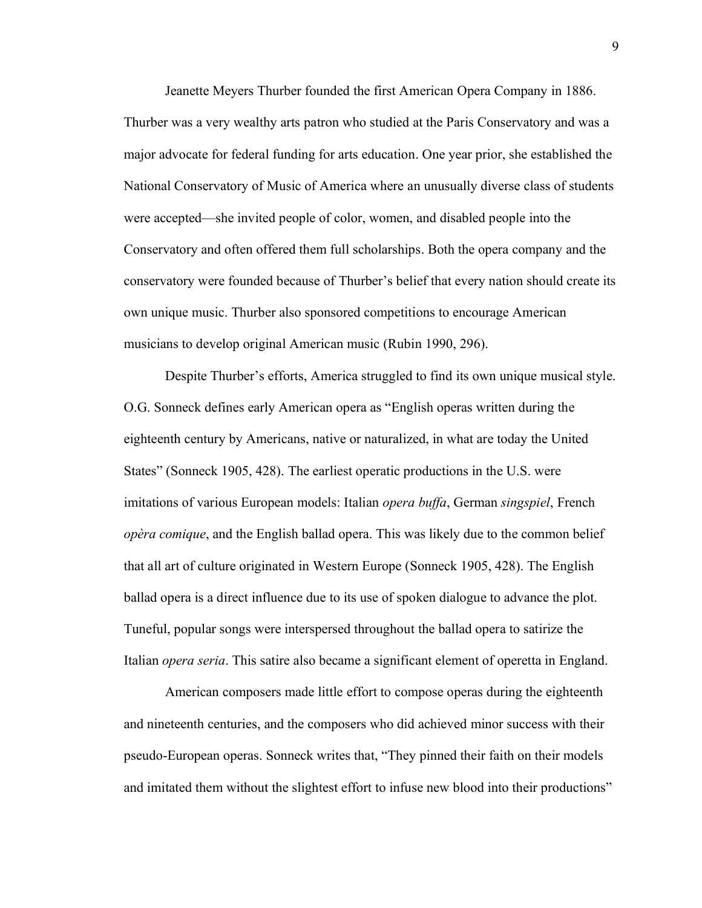Jeanette Meyers Thurber founded the first American Opera Company in 1886. Thurber was a very wealthy arts patron who studied at the Paris Conservatory and was a major advocate for federal funding for arts education. One year prior, she established the National Conservatory of Music of America where an unusually diverse class of students were accepted—she invited people of color, women, and disabled people into the Conservatory and often offered them full scholarships. Both the opera company and the conservatory were founded because of Thurber's belief that every nation should create its own unique music. Thurber also sponsored competitions to encourage American musicians to develop original American music (Rubin 1990, 296).

Despite Thurber's efforts, America struggled to find its own unique musical style. O.G. Sonneck defines early American opera as "English operas written during the eighteenth century by Americans, native or naturalized, in what are today the United States" (Sonneck 1905, 428). The earliest operatic productions in the U.S. were imitations of various European models: Italian *opera buffa*, German *singspiel*, French *opèra comique*, and the English ballad opera. This was likely due to the common belief that all art of culture originated in Western Europe (Sonneck 1905, 428). The English ballad opera is a direct influence due to its use of spoken dialogue to advance the plot. Tuneful, popular songs were interspersed throughout the ballad opera to satirize the Italian *opera seria*. This satire also became a significant element of operetta in England.

American composers made little effort to compose operas during the eighteenth and nineteenth centuries, and the composers who did achieved minor success with their pseudo-European operas. Sonneck writes that, "They pinned their faith on their models and imitated them without the slightest effort to infuse new blood into their productions"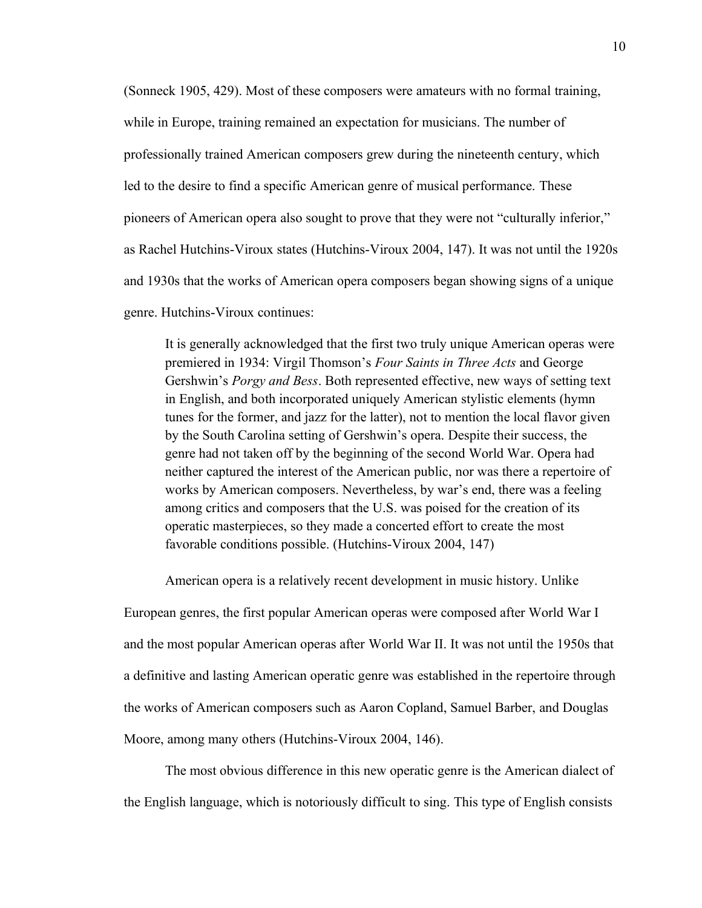(Sonneck 1905, 429). Most of these composers were amateurs with no formal training, while in Europe, training remained an expectation for musicians. The number of professionally trained American composers grew during the nineteenth century, which led to the desire to find a specific American genre of musical performance. These pioneers of American opera also sought to prove that they were not "culturally inferior," as Rachel Hutchins-Viroux states (Hutchins-Viroux 2004, 147). It was not until the 1920s and 1930s that the works of American opera composers began showing signs of a unique genre. Hutchins-Viroux continues:

It is generally acknowledged that the first two truly unique American operas were premiered in 1934: Virgil Thomson's Four Saints in Three Acts and George Gershwin's *Porgy and Bess*. Both represented effective, new ways of setting text in English, and both incorporated uniquely American stylistic elements (hymn tunes for the former, and jazz for the latter), not to mention the local flavor given by the South Carolina setting of Gershwin's opera. Despite their success, the genre had not taken off by the beginning of the second World War. Opera had neither captured the interest of the American public, nor was there a repertoire of works by American composers. Nevertheless, by war's end, there was a feeling among critics and composers that the U.S. was poised for the creation of its operatic masterpieces, so they made a concerted effort to create the most favorable conditions possible. (Hutchins-Viroux 2004, 147)

American opera is a relatively recent development in music history. Unlike European genres, the first popular American operas were composed after World War I and the most popular American operas after World War II. It was not until the 1950s that a definitive and lasting American operatic genre was established in the repertoire through the works of American composers such as Aaron Copland, Samuel Barber, and Douglas Moore, among many others (Hutchins-Viroux 2004, 146).

The most obvious difference in this new operatic genre is the American dialect of the English language, which is notoriously difficult to sing. This type of English consists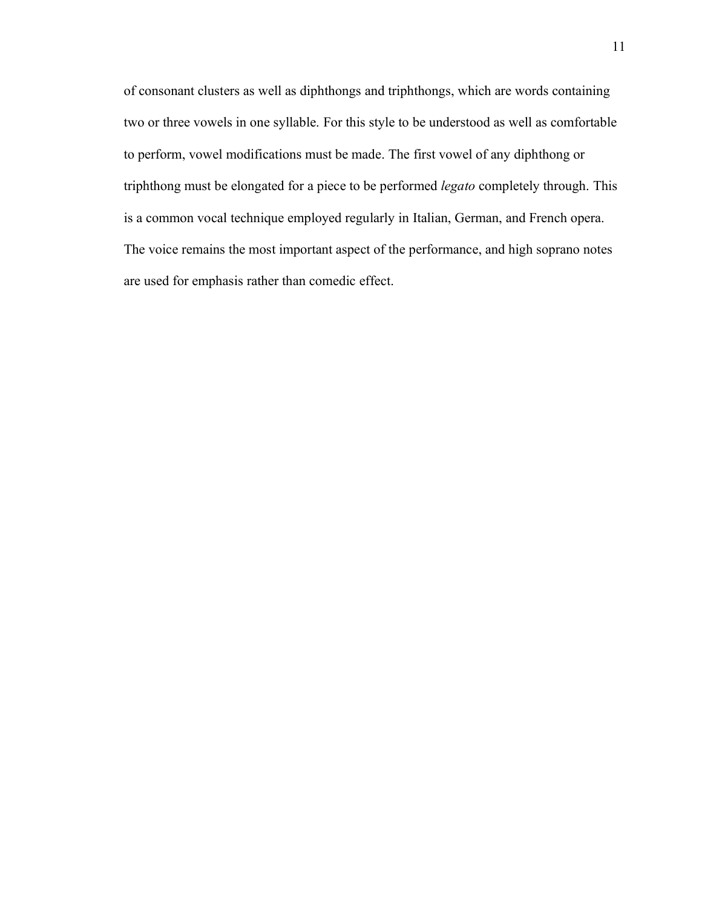of consonant clusters as well as diphthongs and triphthongs, which are words containing two or three vowels in one syllable. For this style to be understood as well as comfortable to perform, vowel modifications must be made. The first vowel of any diphthong or triphthong must be elongated for a piece to be performed *legato* completely through. This is a common vocal technique employed regularly in Italian, German, and French opera. The voice remains the most important aspect of the performance, and high soprano notes are used for emphasis rather than comedic effect.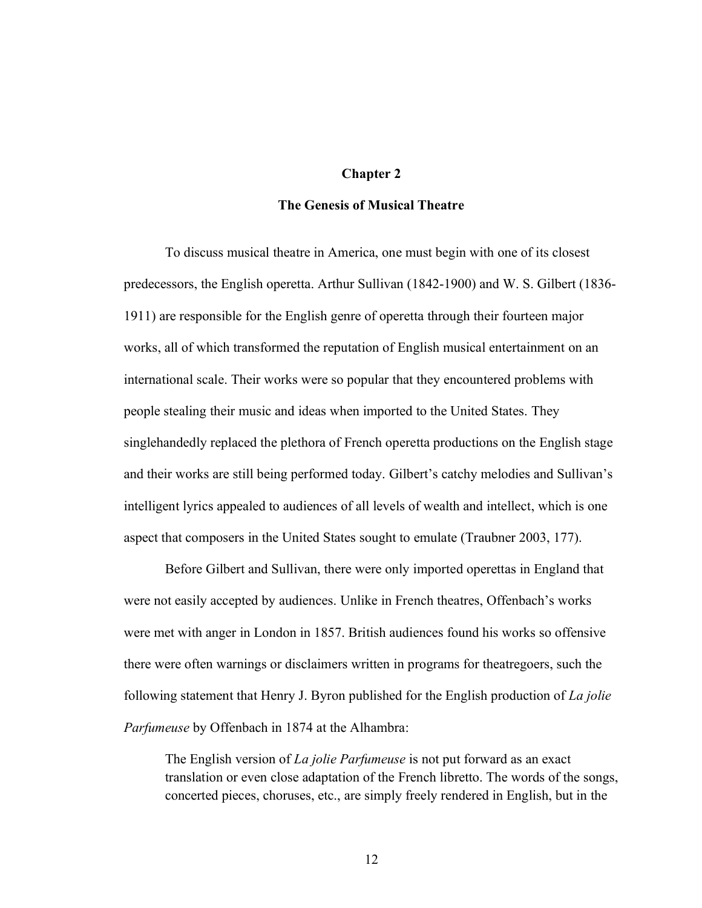#### **Chapter 2**

#### **The Genesis of Musical Theatre**

To discuss musical theatre in America, one must begin with one of its closest predecessors, the English operetta. Arthur Sullivan (1842-1900) and W. S. Gilbert (1836- 1911) are responsible for the English genre of operetta through their fourteen major works, all of which transformed the reputation of English musical entertainment on an international scale. Their works were so popular that they encountered problems with people stealing their music and ideas when imported to the United States. They singlehandedly replaced the plethora of French operetta productions on the English stage and their works are still being performed today. Gilbert's catchy melodies and Sullivan's intelligent lyrics appealed to audiences of all levels of wealth and intellect, which is one aspect that composers in the United States sought to emulate (Traubner 2003, 177).

Before Gilbert and Sullivan, there were only imported operettas in England that were not easily accepted by audiences. Unlike in French theatres, Offenbach's works were met with anger in London in 1857. British audiences found his works so offensive there were often warnings or disclaimers written in programs for theatregoers, such the following statement that Henry J. Byron published for the English production of *La jolie Parfumeuse* by Offenbach in 1874 at the Alhambra:

The English version of *La jolie Parfumeuse* is not put forward as an exact translation or even close adaptation of the French libretto. The words of the songs, concerted pieces, choruses, etc., are simply freely rendered in English, but in the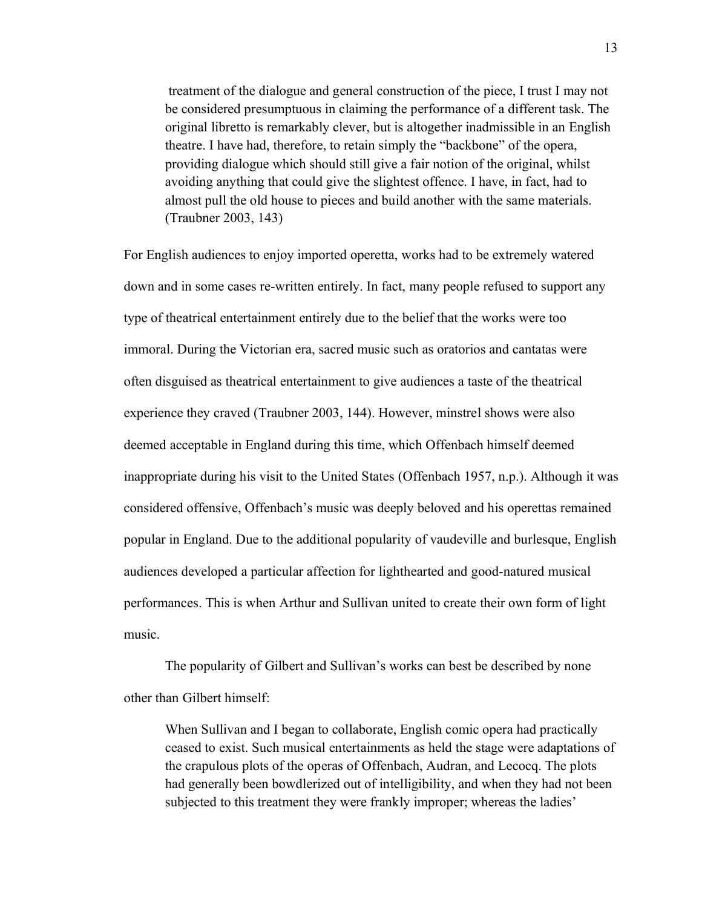treatment of the dialogue and general construction of the piece, I trust I may not be considered presumptuous in claiming the performance of a different task. The original libretto is remarkably clever, but is altogether inadmissible in an English theatre. I have had, therefore, to retain simply the "backbone" of the opera, providing dialogue which should still give a fair notion of the original, whilst avoiding anything that could give the slightest offence. I have, in fact, had to almost pull the old house to pieces and build another with the same materials. (Traubner 2003, 143)

For English audiences to enjoy imported operetta, works had to be extremely watered down and in some cases re-written entirely. In fact, many people refused to support any type of theatrical entertainment entirely due to the belief that the works were too immoral. During the Victorian era, sacred music such as oratorios and cantatas were often disguised as theatrical entertainment to give audiences a taste of the theatrical experience they craved (Traubner 2003, 144). However, minstrel shows were also deemed acceptable in England during this time, which Offenbach himself deemed inappropriate during his visit to the United States (Offenbach 1957, n.p.). Although it was considered offensive, Offenbach's music was deeply beloved and his operettas remained popular in England. Due to the additional popularity of vaudeville and burlesque, English audiences developed a particular affection for lighthearted and good-natured musical performances. This is when Arthur and Sullivan united to create their own form of light music.

The popularity of Gilbert and Sullivan's works can best be described by none other than Gilbert himself:

When Sullivan and I began to collaborate, English comic opera had practically ceased to exist. Such musical entertainments as held the stage were adaptations of the crapulous plots of the operas of Offenbach, Audran, and Lecocq. The plots had generally been bowdlerized out of intelligibility, and when they had not been subjected to this treatment they were frankly improper; whereas the ladies'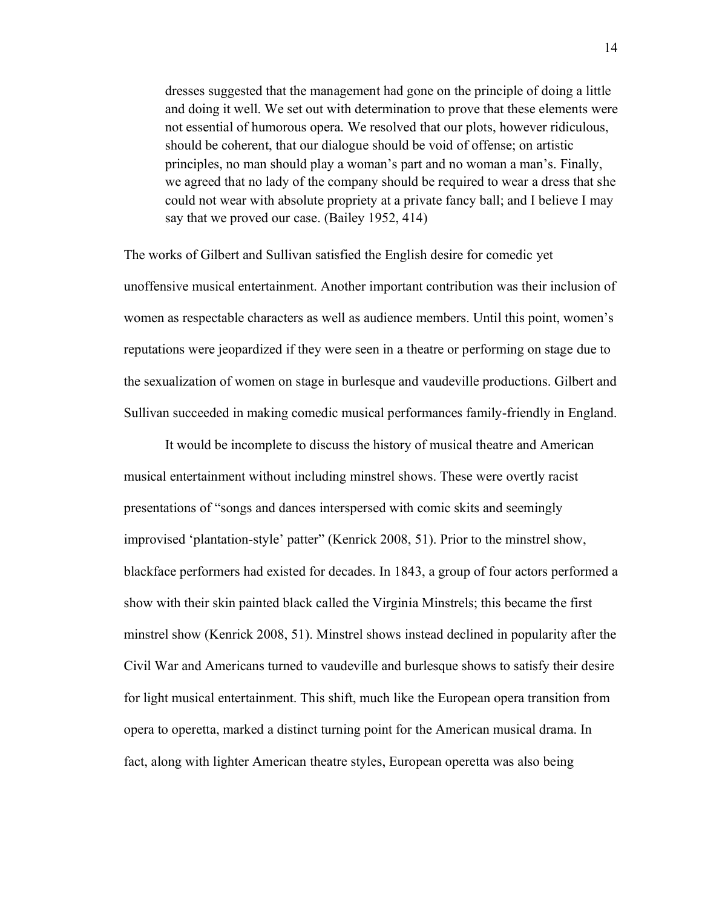dresses suggested that the management had gone on the principle of doing a little and doing it well. We set out with determination to prove that these elements were not essential of humorous opera. We resolved that our plots, however ridiculous, should be coherent, that our dialogue should be void of offense; on artistic principles, no man should play a woman's part and no woman a man's. Finally, we agreed that no lady of the company should be required to wear a dress that she could not wear with absolute propriety at a private fancy ball; and I believe I may say that we proved our case. (Bailey 1952, 414)

The works of Gilbert and Sullivan satisfied the English desire for comedic yet unoffensive musical entertainment. Another important contribution was their inclusion of women as respectable characters as well as audience members. Until this point, women's reputations were jeopardized if they were seen in a theatre or performing on stage due to the sexualization of women on stage in burlesque and vaudeville productions. Gilbert and Sullivan succeeded in making comedic musical performances family-friendly in England.

It would be incomplete to discuss the history of musical theatre and American musical entertainment without including minstrel shows. These were overtly racist presentations of "songs and dances interspersed with comic skits and seemingly improvised 'plantation-style' patter" (Kenrick 2008, 51). Prior to the minstrel show, blackface performers had existed for decades. In 1843, a group of four actors performed a show with their skin painted black called the Virginia Minstrels; this became the first minstrel show (Kenrick 2008, 51). Minstrel shows instead declined in popularity after the Civil War and Americans turned to vaudeville and burlesque shows to satisfy their desire for light musical entertainment. This shift, much like the European opera transition from opera to operetta, marked a distinct turning point for the American musical drama. In fact, along with lighter American theatre styles, European operetta was also being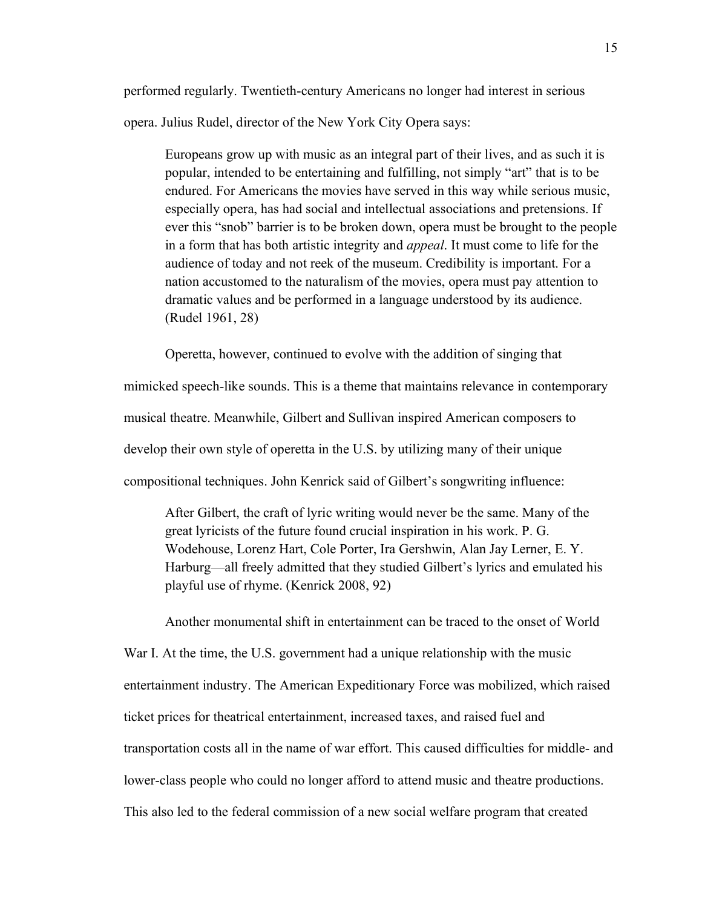performed regularly. Twentieth-century Americans no longer had interest in serious opera. Julius Rudel, director of the New York City Opera says:

Europeans grow up with music as an integral part of their lives, and as such it is popular, intended to be entertaining and fulfilling, not simply "art" that is to be endured. For Americans the movies have served in this way while serious music, especially opera, has had social and intellectual associations and pretensions. If ever this "snob" barrier is to be broken down, opera must be brought to the people in a form that has both artistic integrity and *appeal*. It must come to life for the audience of today and not reek of the museum. Credibility is important. For a nation accustomed to the naturalism of the movies, opera must pay attention to dramatic values and be performed in a language understood by its audience. (Rudel 1961, 28)

Operetta, however, continued to evolve with the addition of singing that

mimicked speech-like sounds. This is a theme that maintains relevance in contemporary musical theatre. Meanwhile, Gilbert and Sullivan inspired American composers to develop their own style of operetta in the U.S. by utilizing many of their unique compositional techniques. John Kenrick said of Gilbert's songwriting influence:

After Gilbert, the craft of lyric writing would never be the same. Many of the great lyricists of the future found crucial inspiration in his work. P. G. Wodehouse, Lorenz Hart, Cole Porter, Ira Gershwin, Alan Jay Lerner, E. Y. Harburg—all freely admitted that they studied Gilbert's lyrics and emulated his playful use of rhyme. (Kenrick 2008, 92)

Another monumental shift in entertainment can be traced to the onset of World War I. At the time, the U.S. government had a unique relationship with the music entertainment industry. The American Expeditionary Force was mobilized, which raised ticket prices for theatrical entertainment, increased taxes, and raised fuel and transportation costs all in the name of war effort. This caused difficulties for middle- and lower-class people who could no longer afford to attend music and theatre productions. This also led to the federal commission of a new social welfare program that created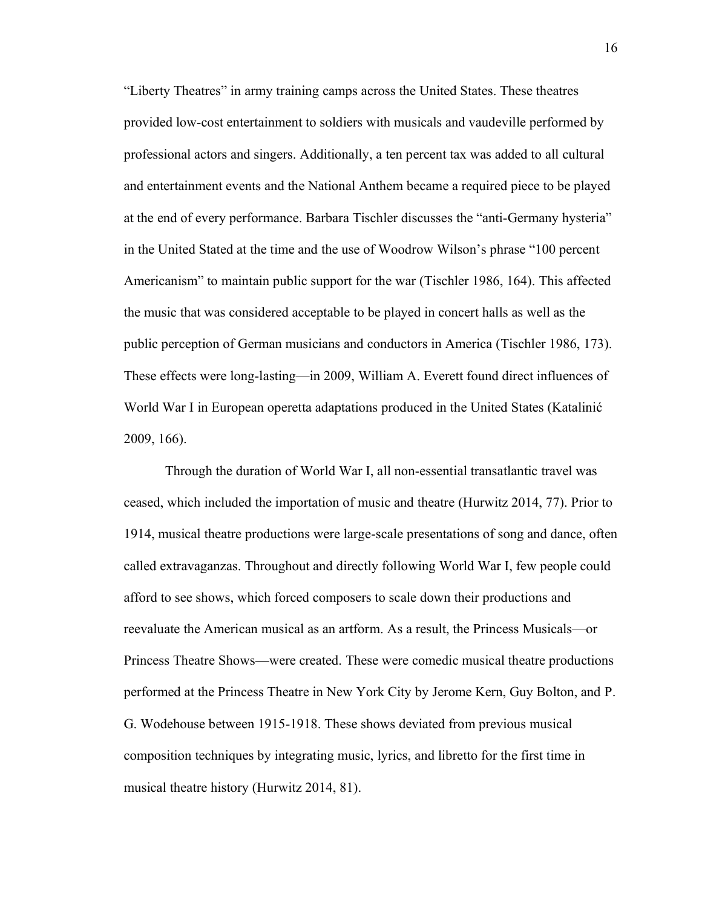"Liberty Theatres" in army training camps across the United States. These theatres provided low-cost entertainment to soldiers with musicals and vaudeville performed by professional actors and singers. Additionally, a ten percent tax was added to all cultural and entertainment events and the National Anthem became a required piece to be played at the end of every performance. Barbara Tischler discusses the "anti-Germany hysteria" in the United Stated at the time and the use of Woodrow Wilson's phrase "100 percent" Americanism" to maintain public support for the war (Tischler 1986, 164). This affected the music that was considered acceptable to be played in concert halls as well as the public perception of German musicians and conductors in America (Tischler 1986, 173). These effects were long-lasting—in 2009, William A. Everett found direct influences of World War I in European operetta adaptations produced in the United States (Katalinić 2009, 166).

Through the duration of World War I, all non-essential transatlantic travel was ceased, which included the importation of music and theatre (Hurwitz 2014, 77). Prior to 1914, musical theatre productions were large-scale presentations of song and dance, often called extravaganzas. Throughout and directly following World War I, few people could afford to see shows, which forced composers to scale down their productions and reevaluate the American musical as an artform. As a result, the Princess Musicals—or Princess Theatre Shows—were created. These were comedic musical theatre productions performed at the Princess Theatre in New York City by Jerome Kern, Guy Bolton, and P. G. Wodehouse between 1915-1918. These shows deviated from previous musical composition techniques by integrating music, lyrics, and libretto for the first time in musical theatre history (Hurwitz 2014, 81).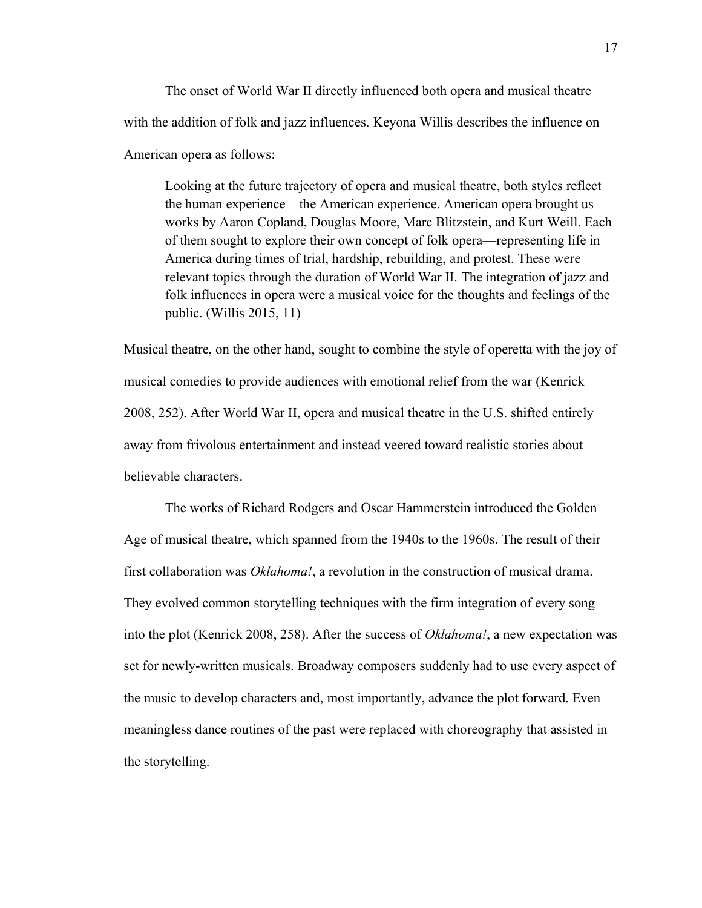The onset of World War II directly influenced both opera and musical theatre with the addition of folk and jazz influences. Keyona Willis describes the influence on American opera as follows:

Looking at the future trajectory of opera and musical theatre, both styles reflect the human experience—the American experience. American opera brought us works by Aaron Copland, Douglas Moore, Marc Blitzstein, and Kurt Weill. Each of them sought to explore their own concept of folk opera—representing life in America during times of trial, hardship, rebuilding, and protest. These were relevant topics through the duration of World War II. The integration of jazz and folk influences in opera were a musical voice for the thoughts and feelings of the public. (Willis 2015, 11)

Musical theatre, on the other hand, sought to combine the style of operetta with the joy of musical comedies to provide audiences with emotional relief from the war (Kenrick 2008, 252). After World War II, opera and musical theatre in the U.S. shifted entirely away from frivolous entertainment and instead veered toward realistic stories about believable characters.

The works of Richard Rodgers and Oscar Hammerstein introduced the Golden Age of musical theatre, which spanned from the 1940s to the 1960s. The result of their first collaboration was *Oklahoma!*, a revolution in the construction of musical drama. They evolved common storytelling techniques with the firm integration of every song into the plot (Kenrick 2008, 258). After the success of *Oklahoma!*, a new expectation was set for newly-written musicals. Broadway composers suddenly had to use every aspect of the music to develop characters and, most importantly, advance the plot forward. Even meaningless dance routines of the past were replaced with choreography that assisted in the storytelling.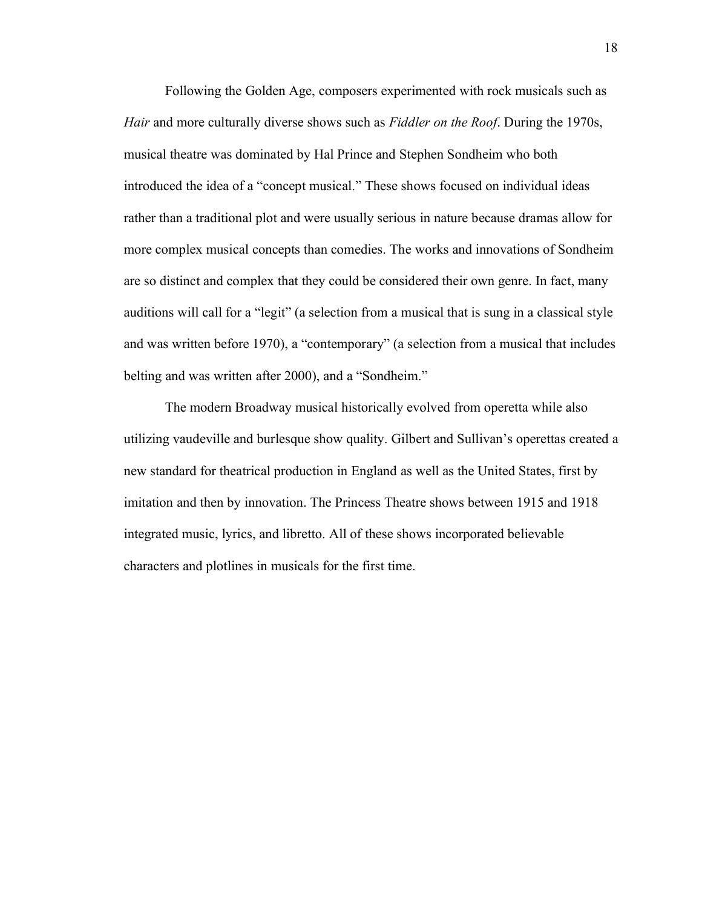Following the Golden Age, composers experimented with rock musicals such as *Hair* and more culturally diverse shows such as *Fiddler on the Roof*. During the 1970s, musical theatre was dominated by Hal Prince and Stephen Sondheim who both introduced the idea of a "concept musical." These shows focused on individual ideas rather than a traditional plot and were usually serious in nature because dramas allow for more complex musical concepts than comedies. The works and innovations of Sondheim are so distinct and complex that they could be considered their own genre. In fact, many auditions will call for a "legit" (a selection from a musical that is sung in a classical style and was written before 1970), a "contemporary" (a selection from a musical that includes belting and was written after 2000), and a "Sondheim."

The modern Broadway musical historically evolved from operetta while also utilizing vaudeville and burlesque show quality. Gilbert and Sullivan's operettas created a new standard for theatrical production in England as well as the United States, first by imitation and then by innovation. The Princess Theatre shows between 1915 and 1918 integrated music, lyrics, and libretto. All of these shows incorporated believable characters and plotlines in musicals for the first time.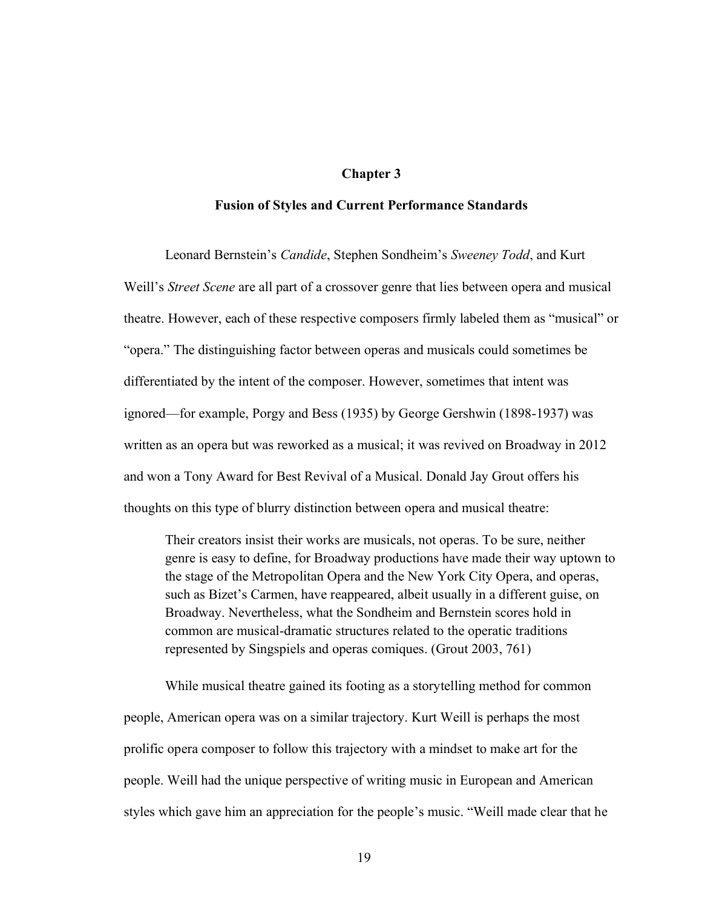#### **Chapter 3**

#### **Fusion of Styles and Current Performance Standards**

Leonard Bernstein's Candide, Stephen Sondheim's Sweeney Todd, and Kurt Weill's *Street Scene* are all part of a crossover genre that lies between opera and musical theatre. However, each of these respective composers firmly labeled them as "musical" or "opera." The distinguishing factor between operas and musicals could sometimes be differentiated by the intent of the composer. However, sometimes that intent was ignored—for example, Porgy and Bess (1935) by George Gershwin (1898-1937) was written as an opera but was reworked as a musical; it was revived on Broadway in 2012 and won a Tony Award for Best Revival of a Musical. Donald Jay Grout offers his thoughts on this type of blurry distinction between opera and musical theatre:

Their creators insist their works are musicals, not operas. To be sure, neither genre is easy to define, for Broadway productions have made their way uptown to the stage of the Metropolitan Opera and the New York City Opera, and operas, such as Bizet's Carmen, have reappeared, albeit usually in a different guise, on Broadway. Nevertheless, what the Sondheim and Bernstein scores hold in common are musical-dramatic structures related to the operatic traditions represented by Singspiels and operas comiques. (Grout 2003, 761)

While musical theatre gained its footing as a storytelling method for common people, American opera was on a similar trajectory. Kurt Weill is perhaps the most prolific opera composer to follow this trajectory with a mindset to make art for the people. Weill had the unique perspective of writing music in European and American styles which gave him an appreciation for the people's music. "Weill made clear that he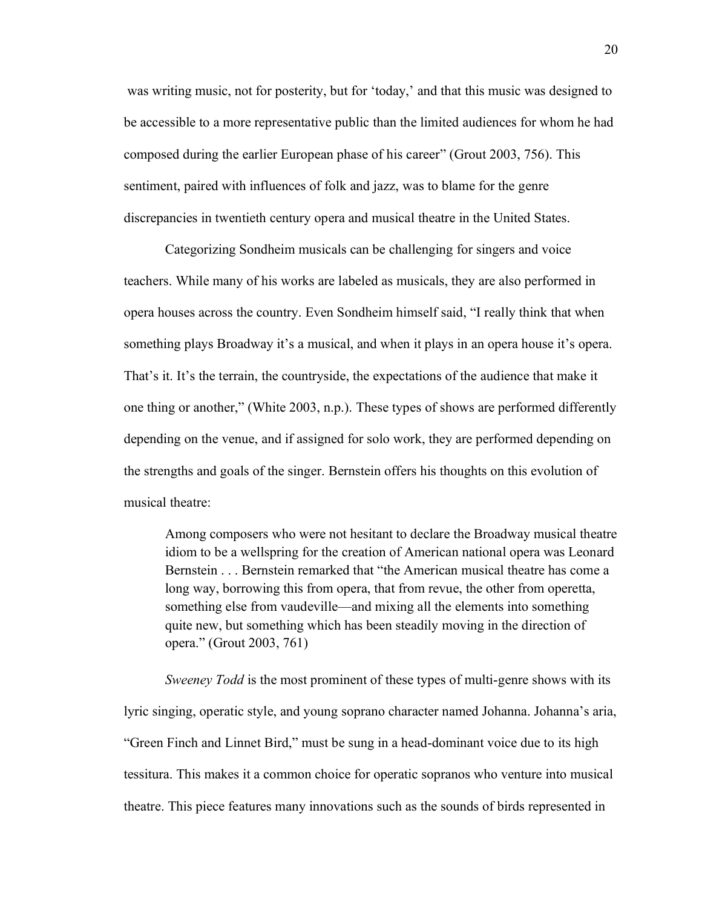was writing music, not for posterity, but for 'today,' and that this music was designed to be accessible to a more representative public than the limited audiences for whom he had composed during the earlier European phase of his career" (Grout 2003, 756). This sentiment, paired with influences of folk and jazz, was to blame for the genre discrepancies in twentieth century opera and musical theatre in the United States.

Categorizing Sondheim musicals can be challenging for singers and voice teachers. While many of his works are labeled as musicals, they are also performed in opera houses across the country. Even Sondheim himself said, "I really think that when something plays Broadway it's a musical, and when it plays in an opera house it's opera. That's it. It's the terrain, the countryside, the expectations of the audience that make it one thing or another," (White 2003, n.p.). These types of shows are performed differently depending on the venue, and if assigned for solo work, they are performed depending on the strengths and goals of the singer. Bernstein offers his thoughts on this evolution of musical theatre:

Among composers who were not hesitant to declare the Broadway musical theatre idiom to be a wellspring for the creation of American national opera was Leonard Bernstein . . . Bernstein remarked that "the American musical theatre has come a long way, borrowing this from opera, that from revue, the other from operetta, something else from vaudeville—and mixing all the elements into something quite new, but something which has been steadily moving in the direction of opera." (Grout 2003, 761)

*Sweeney Todd* is the most prominent of these types of multi-genre shows with its lyric singing, operatic style, and young soprano character named Johanna. Johanna's aria, "Green Finch and Linnet Bird," must be sung in a head-dominant voice due to its high tessitura. This makes it a common choice for operatic sopranos who venture into musical theatre. This piece features many innovations such as the sounds of birds represented in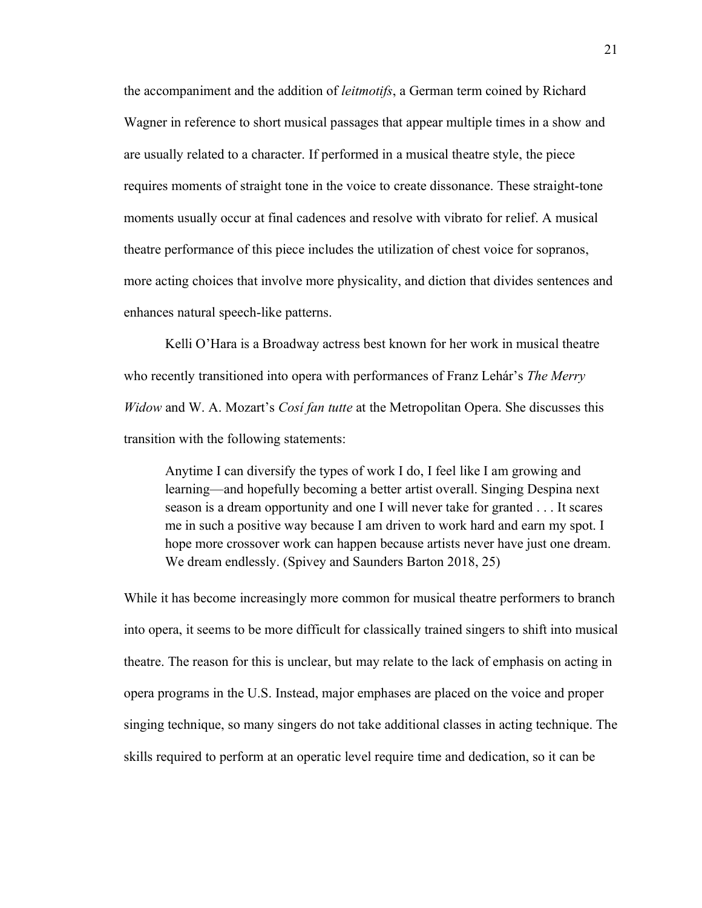the accompaniment and the addition of *leitmotifs*, a German term coined by Richard Wagner in reference to short musical passages that appear multiple times in a show and are usually related to a character. If performed in a musical theatre style, the piece requires moments of straight tone in the voice to create dissonance. These straight-tone moments usually occur at final cadences and resolve with vibrato for relief. A musical theatre performance of this piece includes the utilization of chest voice for sopranos, more acting choices that involve more physicality, and diction that divides sentences and enhances natural speech-like patterns.

Kelli O'Hara is a Broadway actress best known for her work in musical theatre who recently transitioned into opera with performances of Franz Lehár's *The Merry Widow* and W. A. Mozart's *Cosi fan tutte* at the Metropolitan Opera. She discusses this transition with the following statements:

Anytime I can diversify the types of work I do, I feel like I am growing and learning—and hopefully becoming a better artist overall. Singing Despina next season is a dream opportunity and one I will never take for granted . . . It scares me in such a positive way because I am driven to work hard and earn my spot. I hope more crossover work can happen because artists never have just one dream. We dream endlessly. (Spivey and Saunders Barton 2018, 25)

While it has become increasingly more common for musical theatre performers to branch into opera, it seems to be more difficult for classically trained singers to shift into musical theatre. The reason for this is unclear, but may relate to the lack of emphasis on acting in opera programs in the U.S. Instead, major emphases are placed on the voice and proper singing technique, so many singers do not take additional classes in acting technique. The skills required to perform at an operatic level require time and dedication, so it can be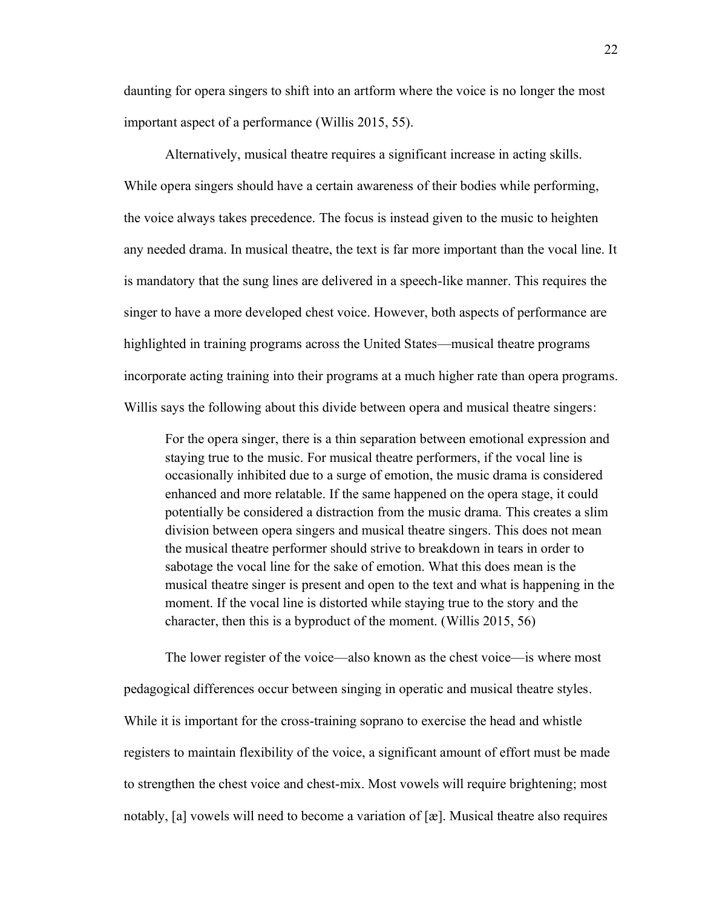daunting for opera singers to shift into an artform where the voice is no longer the most important aspect of a performance (Willis 2015, 55).

Alternatively, musical theatre requires a significant increase in acting skills. While opera singers should have a certain awareness of their bodies while performing, the voice always takes precedence. The focus is instead given to the music to heighten any needed drama. In musical theatre, the text is far more important than the vocal line. It is mandatory that the sung lines are delivered in a speech-like manner. This requires the singer to have a more developed chest voice. However, both aspects of performance are highlighted in training programs across the United States—musical theatre programs incorporate acting training into their programs at a much higher rate than opera programs. Willis says the following about this divide between opera and musical theatre singers:

For the opera singer, there is a thin separation between emotional expression and staying true to the music. For musical theatre performers, if the vocal line is occasionally inhibited due to a surge of emotion, the music drama is considered enhanced and more relatable. If the same happened on the opera stage, it could potentially be considered a distraction from the music drama. This creates a slim division between opera singers and musical theatre singers. This does not mean the musical theatre performer should strive to breakdown in tears in order to sabotage the vocal line for the sake of emotion. What this does mean is the musical theatre singer is present and open to the text and what is happening in the moment. If the vocal line is distorted while staying true to the story and the character, then this is a byproduct of the moment. (Willis 2015, 56)

The lower register of the voice—also known as the chest voice—is where most pedagogical differences occur between singing in operatic and musical theatre styles. While it is important for the cross-training soprano to exercise the head and whistle registers to maintain flexibility of the voice, a significant amount of effort must be made to strengthen the chest voice and chest-mix. Most vowels will require brightening; most notably, [a] vowels will need to become a variation of [æ]. Musical theatre also requires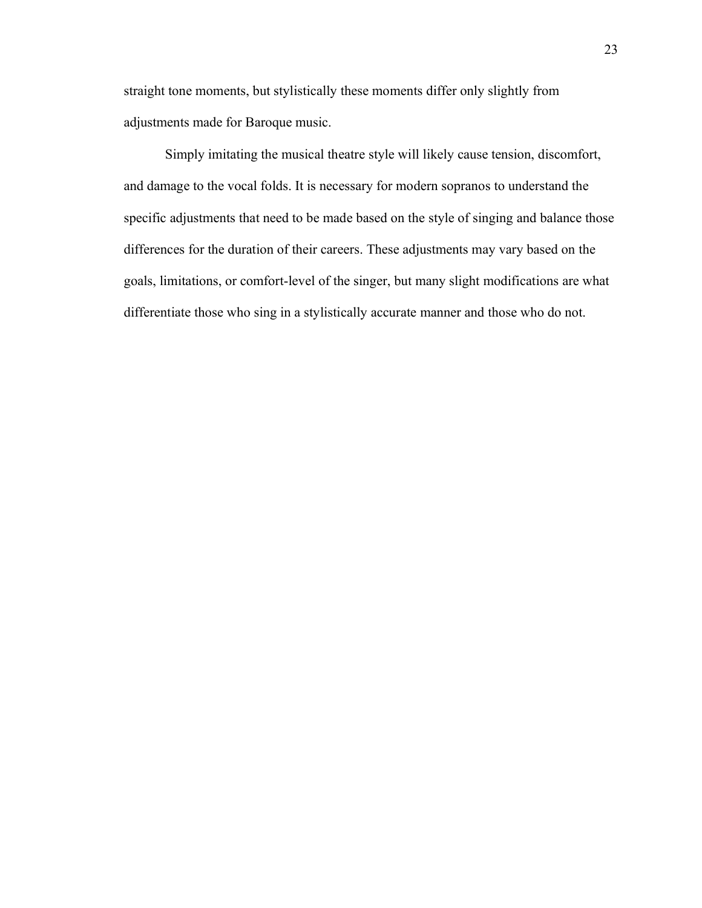straight tone moments, but stylistically these moments differ only slightly from adjustments made for Baroque music.

Simply imitating the musical theatre style will likely cause tension, discomfort, and damage to the vocal folds. It is necessary for modern sopranos to understand the specific adjustments that need to be made based on the style of singing and balance those differences for the duration of their careers. These adjustments may vary based on the goals, limitations, or comfort-level of the singer, but many slight modifications are what differentiate those who sing in a stylistically accurate manner and those who do not.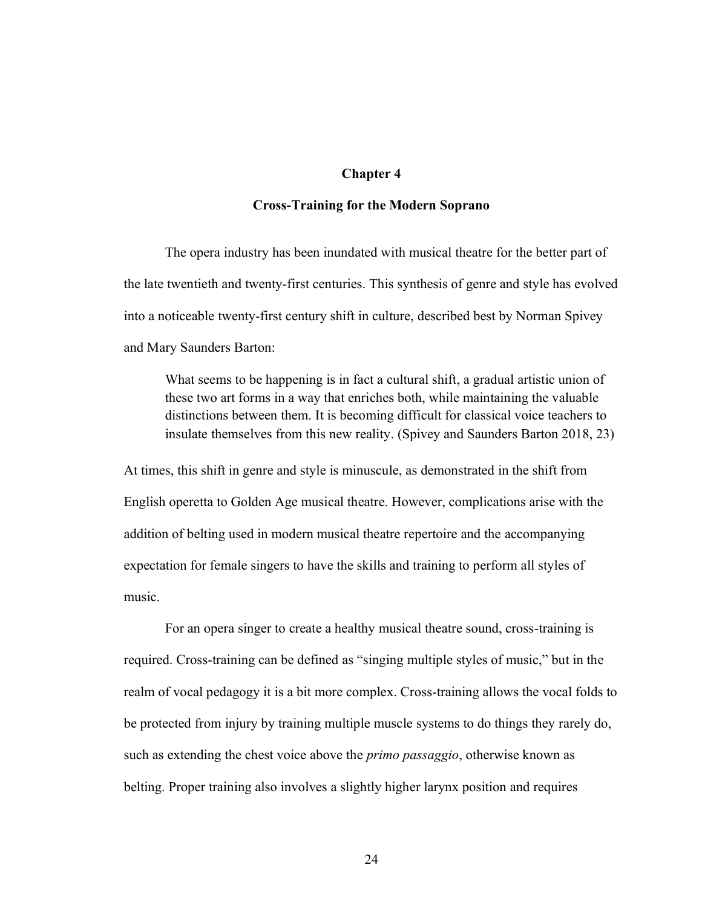#### **Chapter 4**

#### **Cross-Training for the Modern Soprano**

The opera industry has been inundated with musical theatre for the better part of the late twentieth and twenty-first centuries. This synthesis of genre and style has evolved into a noticeable twenty-first century shift in culture, described best by Norman Spivey and Mary Saunders Barton:

What seems to be happening is in fact a cultural shift, a gradual artistic union of these two art forms in a way that enriches both, while maintaining the valuable distinctions between them. It is becoming difficult for classical voice teachers to insulate themselves from this new reality. (Spivey and Saunders Barton 2018, 23)

At times, this shift in genre and style is minuscule, as demonstrated in the shift from English operetta to Golden Age musical theatre. However, complications arise with the addition of belting used in modern musical theatre repertoire and the accompanying expectation for female singers to have the skills and training to perform all styles of music.

For an opera singer to create a healthy musical theatre sound, cross-training is required. Cross-training can be defined as "singing multiple styles of music," but in the realm of vocal pedagogy it is a bit more complex. Cross-training allows the vocal folds to be protected from injury by training multiple muscle systems to do things they rarely do, such as extending the chest voice above the *primo passaggio*, otherwise known as belting. Proper training also involves a slightly higher larynx position and requires

24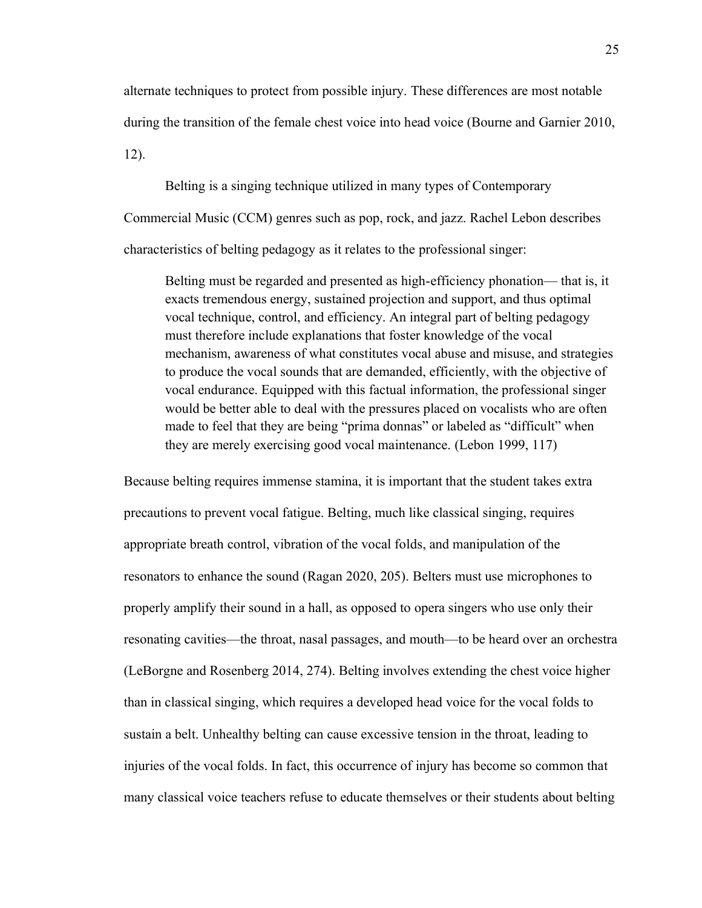alternate techniques to protect from possible injury. These differences are most notable during the transition of the female chest voice into head voice (Bourne and Garnier 2010, 12).

Belting is a singing technique utilized in many types of Contemporary Commercial Music (CCM) genres such as pop, rock, and jazz. Rachel Lebon describes characteristics of belting pedagogy as it relates to the professional singer:

Belting must be regarded and presented as high-efficiency phonation— that is, it exacts tremendous energy, sustained projection and support, and thus optimal vocal technique, control, and efficiency. An integral part of belting pedagogy must therefore include explanations that foster knowledge of the vocal mechanism, awareness of what constitutes vocal abuse and misuse, and strategies to produce the vocal sounds that are demanded, efficiently, with the objective of vocal endurance. Equipped with this factual information, the professional singer would be better able to deal with the pressures placed on vocalists who are often made to feel that they are being "prima donnas" or labeled as "difficult" when they are merely exercising good vocal maintenance. (Lebon 1999, 117)

Because belting requires immense stamina, it is important that the student takes extra precautions to prevent vocal fatigue. Belting, much like classical singing, requires appropriate breath control, vibration of the vocal folds, and manipulation of the resonators to enhance the sound (Ragan 2020, 205). Belters must use microphones to properly amplify their sound in a hall, as opposed to opera singers who use only their resonating cavities—the throat, nasal passages, and mouth—to be heard over an orchestra (LeBorgne and Rosenberg 2014, 274). Belting involves extending the chest voice higher than in classical singing, which requires a developed head voice for the vocal folds to sustain a belt. Unhealthy belting can cause excessive tension in the throat, leading to injuries of the vocal folds. In fact, this occurrence of injury has become so common that many classical voice teachers refuse to educate themselves or their students about belting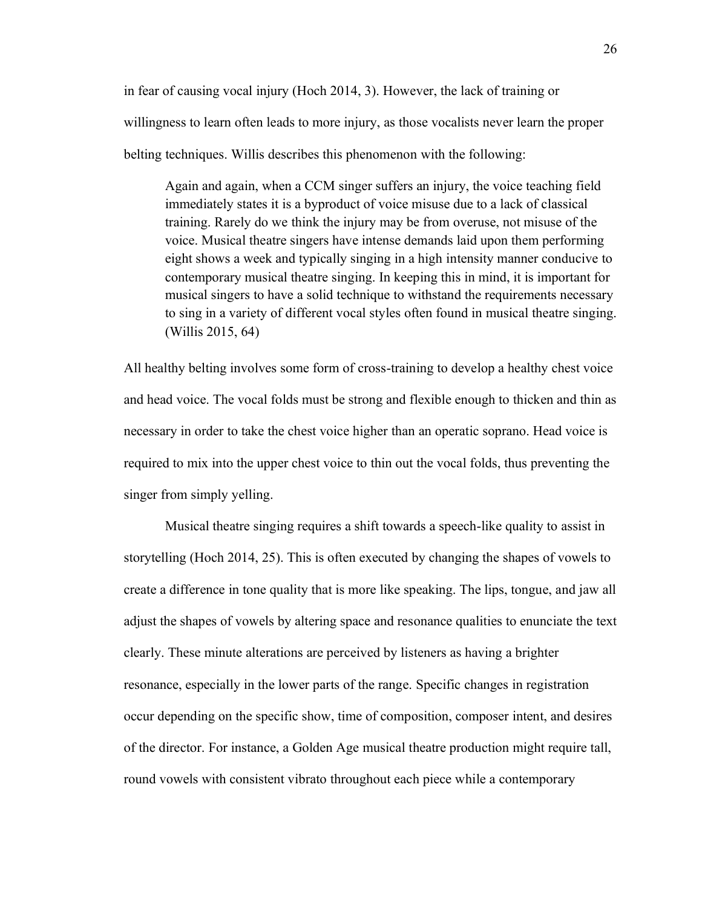in fear of causing vocal injury (Hoch 2014, 3). However, the lack of training or willingness to learn often leads to more injury, as those vocalists never learn the proper belting techniques. Willis describes this phenomenon with the following:

Again and again, when a CCM singer suffers an injury, the voice teaching field immediately states it is a byproduct of voice misuse due to a lack of classical training. Rarely do we think the injury may be from overuse, not misuse of the voice. Musical theatre singers have intense demands laid upon them performing eight shows a week and typically singing in a high intensity manner conducive to contemporary musical theatre singing. In keeping this in mind, it is important for musical singers to have a solid technique to withstand the requirements necessary to sing in a variety of different vocal styles often found in musical theatre singing. (Willis 2015, 64)

All healthy belting involves some form of cross-training to develop a healthy chest voice and head voice. The vocal folds must be strong and flexible enough to thicken and thin as necessary in order to take the chest voice higher than an operatic soprano. Head voice is required to mix into the upper chest voice to thin out the vocal folds, thus preventing the singer from simply yelling.

Musical theatre singing requires a shift towards a speech-like quality to assist in storytelling (Hoch 2014, 25). This is often executed by changing the shapes of vowels to create a difference in tone quality that is more like speaking. The lips, tongue, and jaw all adjust the shapes of vowels by altering space and resonance qualities to enunciate the text clearly. These minute alterations are perceived by listeners as having a brighter resonance, especially in the lower parts of the range. Specific changes in registration occur depending on the specific show, time of composition, composer intent, and desires of the director. For instance, a Golden Age musical theatre production might require tall, round vowels with consistent vibrato throughout each piece while a contemporary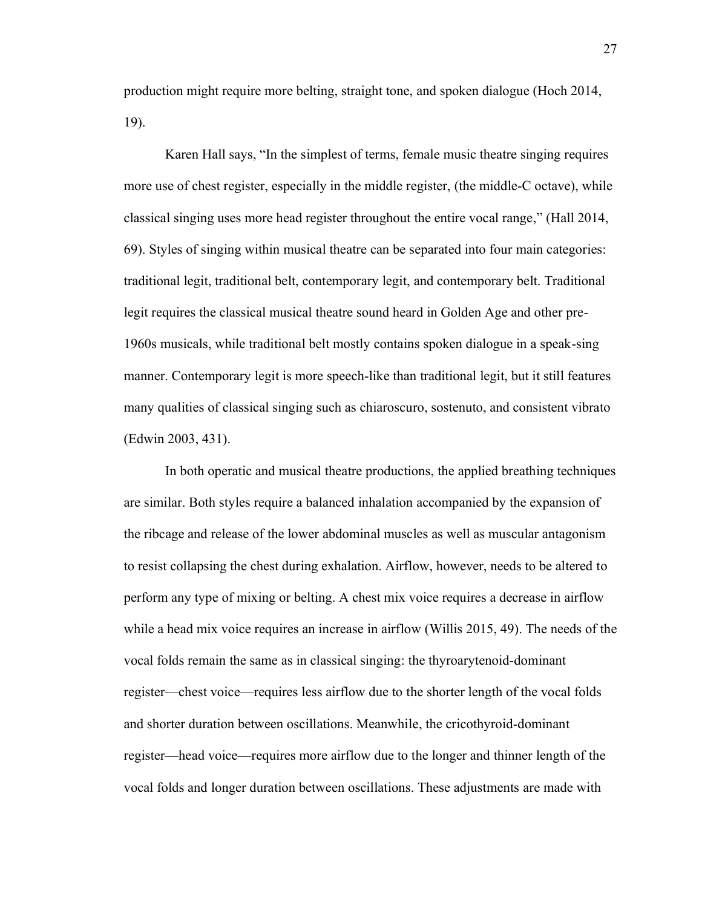production might require more belting, straight tone, and spoken dialogue (Hoch 2014, 19).

Karen Hall says, "In the simplest of terms, female music theatre singing requires more use of chest register, especially in the middle register, (the middle-C octave), while classical singing uses more head register throughout the entire vocal range," (Hall  $2014$ , 69). Styles of singing within musical theatre can be separated into four main categories: traditional legit, traditional belt, contemporary legit, and contemporary belt. Traditional legit requires the classical musical theatre sound heard in Golden Age and other pre-1960s musicals, while traditional belt mostly contains spoken dialogue in a speak-sing manner. Contemporary legit is more speech-like than traditional legit, but it still features many qualities of classical singing such as chiaroscuro, sostenuto, and consistent vibrato (Edwin 2003, 431).

In both operatic and musical theatre productions, the applied breathing techniques are similar. Both styles require a balanced inhalation accompanied by the expansion of the ribcage and release of the lower abdominal muscles as well as muscular antagonism to resist collapsing the chest during exhalation. Airflow, however, needs to be altered to perform any type of mixing or belting. A chest mix voice requires a decrease in airflow while a head mix voice requires an increase in airflow (Willis 2015, 49). The needs of the vocal folds remain the same as in classical singing: the thyroarytenoid-dominant register—chest voice—requires less airflow due to the shorter length of the vocal folds and shorter duration between oscillations. Meanwhile, the cricothyroid-dominant register—head voice—requires more airflow due to the longer and thinner length of the vocal folds and longer duration between oscillations. These adjustments are made with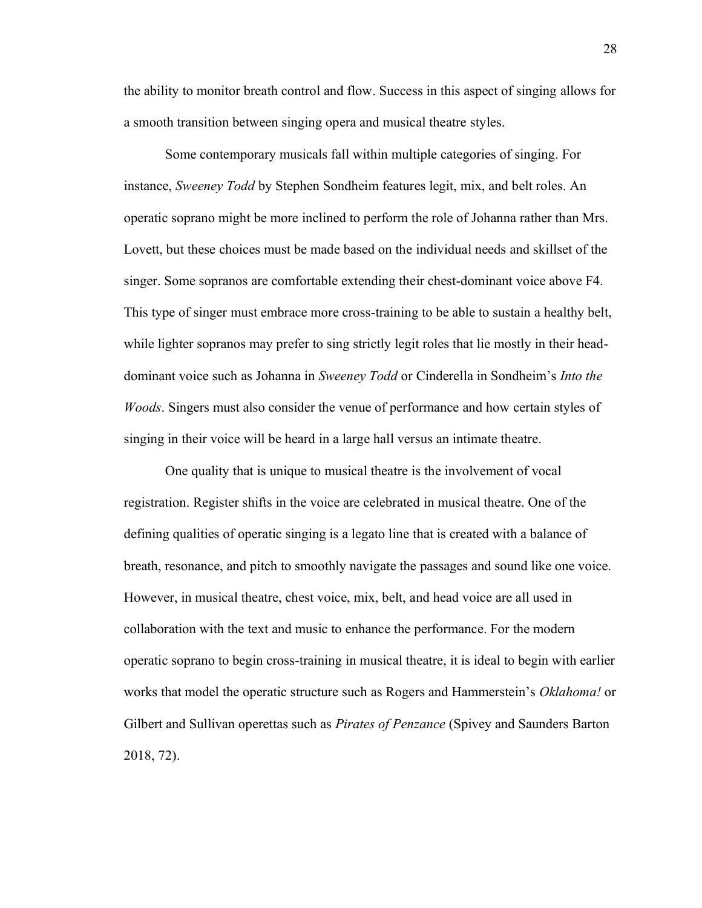the ability to monitor breath control and flow. Success in this aspect of singing allows for a smooth transition between singing opera and musical theatre styles.

Some contemporary musicals fall within multiple categories of singing. For instance, *Sweeney Todd* by Stephen Sondheim features legit, mix, and belt roles. An operatic soprano might be more inclined to perform the role of Johanna rather than Mrs. Lovett, but these choices must be made based on the individual needs and skillset of the singer. Some sopranos are comfortable extending their chest-dominant voice above F4. This type of singer must embrace more cross-training to be able to sustain a healthy belt, while lighter sopranos may prefer to sing strictly legit roles that lie mostly in their headdominant voice such as Johanna in *Sweeney Todd* or Cinderella in Sondheim's *Into the Woods*. Singers must also consider the venue of performance and how certain styles of singing in their voice will be heard in a large hall versus an intimate theatre.

One quality that is unique to musical theatre is the involvement of vocal registration. Register shifts in the voice are celebrated in musical theatre. One of the defining qualities of operatic singing is a legato line that is created with a balance of breath, resonance, and pitch to smoothly navigate the passages and sound like one voice. However, in musical theatre, chest voice, mix, belt, and head voice are all used in collaboration with the text and music to enhance the performance. For the modern operatic soprano to begin cross-training in musical theatre, it is ideal to begin with earlier works that model the operatic structure such as Rogers and Hammerstein's *Oklahoma!* or Gilbert and Sullivan operettas such as *Pirates of Penzance* (Spivey and Saunders Barton 2018, 72).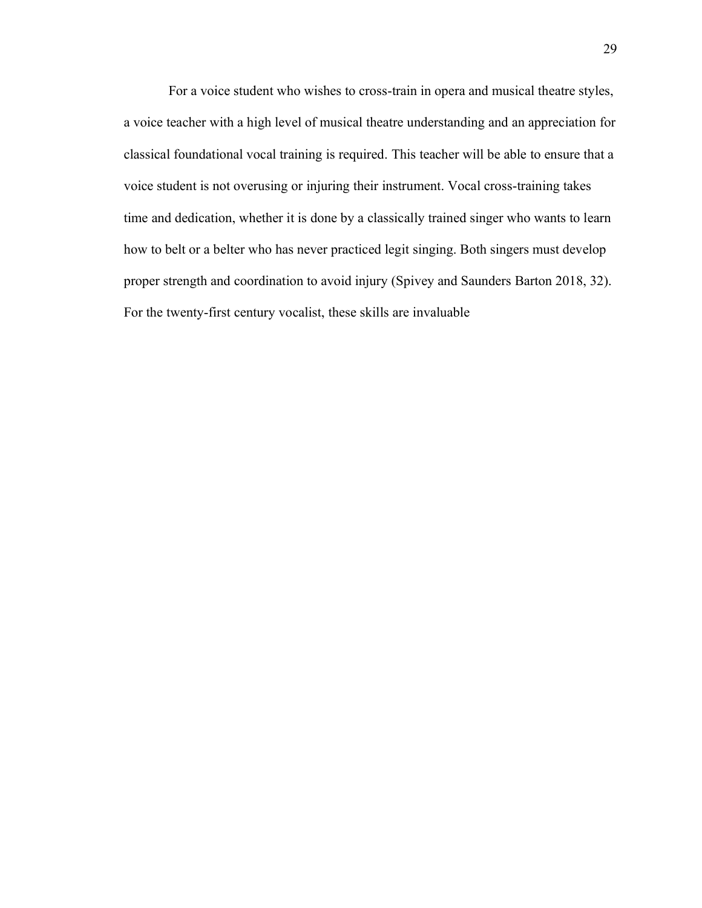For a voice student who wishes to cross-train in opera and musical theatre styles, a voice teacher with a high level of musical theatre understanding and an appreciation for classical foundational vocal training is required. This teacher will be able to ensure that a voice student is not overusing or injuring their instrument. Vocal cross-training takes time and dedication, whether it is done by a classically trained singer who wants to learn how to belt or a belter who has never practiced legit singing. Both singers must develop proper strength and coordination to avoid injury (Spivey and Saunders Barton 2018, 32). For the twenty-first century vocalist, these skills are invaluable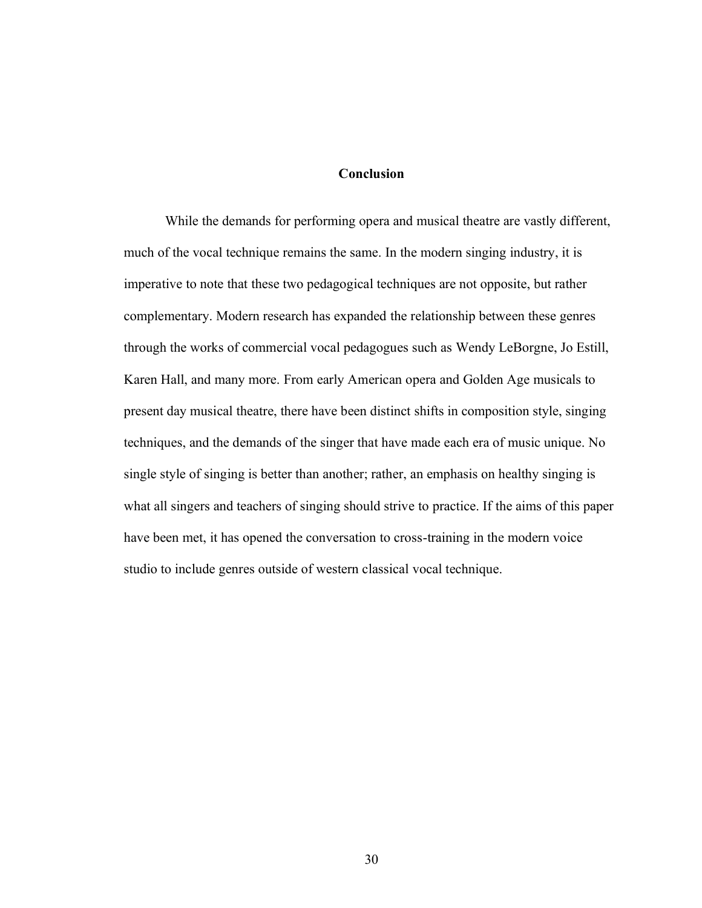#### **Conclusion**

While the demands for performing opera and musical theatre are vastly different, much of the vocal technique remains the same. In the modern singing industry, it is imperative to note that these two pedagogical techniques are not opposite, but rather complementary. Modern research has expanded the relationship between these genres through the works of commercial vocal pedagogues such as Wendy LeBorgne, Jo Estill, Karen Hall, and many more. From early American opera and Golden Age musicals to present day musical theatre, there have been distinct shifts in composition style, singing techniques, and the demands of the singer that have made each era of music unique. No single style of singing is better than another; rather, an emphasis on healthy singing is what all singers and teachers of singing should strive to practice. If the aims of this paper have been met, it has opened the conversation to cross-training in the modern voice studio to include genres outside of western classical vocal technique.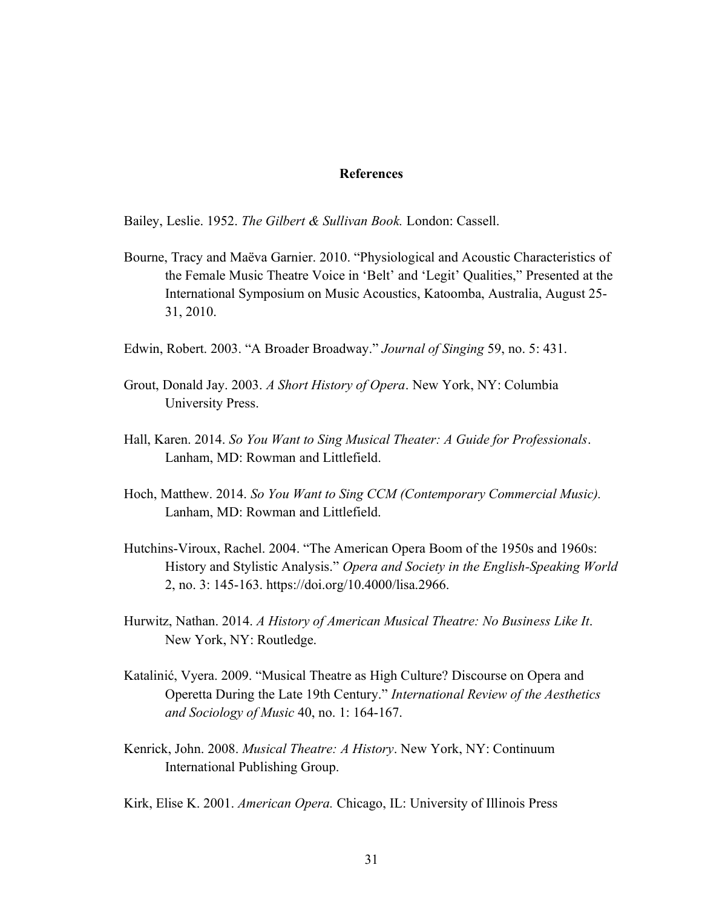#### **References**

Bailey, Leslie. 1952. *The Gilbert & Sullivan Book.* London: Cassell.

- Bourne, Tracy and Maëva Garnier. 2010. "Physiological and Acoustic Characteristics of the Female Music Theatre Voice in 'Belt' and 'Legit' Qualities," Presented at the International Symposium on Music Acoustics, Katoomba, Australia, August 25- 31, 2010.
- Edwin, Robert. 2003. "A Broader Broadway." *Journal of Singing* 59, no. 5: 431.
- Grout, Donald Jay. 2003. *A Short History of Opera*. New York, NY: Columbia University Press.
- Hall, Karen. 2014. *So You Want to Sing Musical Theater: A Guide for Professionals*. Lanham, MD: Rowman and Littlefield.
- Hoch, Matthew. 2014. *So You Want to Sing CCM (Contemporary Commercial Music).* Lanham, MD: Rowman and Littlefield.
- Hutchins-Viroux, Rachel. 2004. "The American Opera Boom of the 1950s and 1960s: History and Stylistic Analysis." Opera and Society in the English-Speaking World 2, no. 3: 145-163. https://doi.org/10.4000/lisa.2966.
- Hurwitz, Nathan. 2014. *A History of American Musical Theatre: No Business Like It*. New York, NY: Routledge.
- Katalinić, Vyera. 2009. "Musical Theatre as High Culture? Discourse on Opera and Operetta During the Late 19th Century." *International Review of the Aesthetics and Sociology of Music* 40, no. 1: 164-167.
- Kenrick, John. 2008. *Musical Theatre: A History*. New York, NY: Continuum International Publishing Group.

Kirk, Elise K. 2001. *American Opera.* Chicago, IL: University of Illinois Press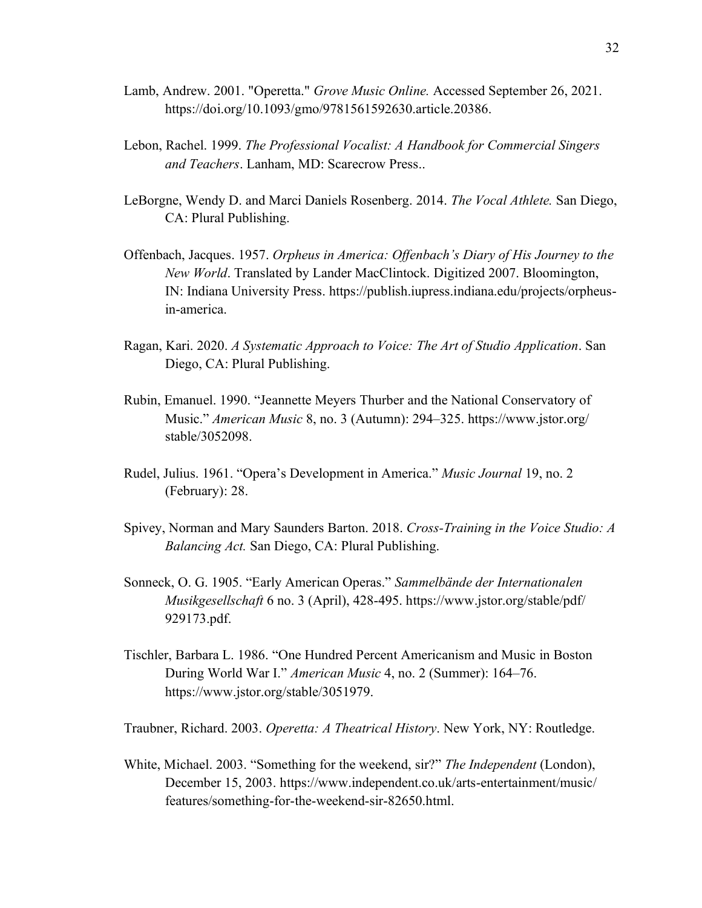- Lamb, Andrew. 2001. "Operetta." *Grove Music Online.* Accessed September 26, 2021. https://doi.org/10.1093/gmo/9781561592630.article.20386.
- Lebon, Rachel. 1999. *The Professional Vocalist: A Handbook for Commercial Singers and Teachers*. Lanham, MD: Scarecrow Press..
- LeBorgne, Wendy D. and Marci Daniels Rosenberg. 2014. *The Vocal Athlete.* San Diego, CA: Plural Publishing.
- Offenbach, Jacques. 1957. *Orpheus in America: Offenbach's Diary of His Journey to the New World*. Translated by Lander MacClintock. Digitized 2007. Bloomington, IN: Indiana University Press. https://publish.iupress.indiana.edu/projects/orpheusin-america.
- Ragan, Kari. 2020. *A Systematic Approach to Voice: The Art of Studio Application*. San Diego, CA: Plural Publishing.
- Rubin, Emanuel. 1990. "Jeannette Meyers Thurber and the National Conservatory of Music." *American Music* 8, no. 3 (Autumn): 294–325. https://www.jstor.org/ stable/3052098.
- Rudel, Julius. 1961. "Opera's Development in America." Music Journal 19, no. 2 (February): 28.
- Spivey, Norman and Mary Saunders Barton. 2018. *Cross-Training in the Voice Studio: A Balancing Act.* San Diego, CA: Plural Publishing.
- Sonneck, O. G. 1905. "Early American Operas." Sammelbände der Internationalen *Musikgesellschaft* 6 no. 3 (April), 428-495. https://www.jstor.org/stable/pdf/ 929173.pdf.
- Tischler, Barbara L. 1986. "One Hundred Percent Americanism and Music in Boston During World War I." *American Music* 4, no. 2 (Summer): 164–76. https://www.jstor.org/stable/3051979.

Traubner, Richard. 2003. *Operetta: A Theatrical History*. New York, NY: Routledge.

White, Michael. 2003. "Something for the weekend, sir?" *The Independent* (London), December 15, 2003. https://www.independent.co.uk/arts-entertainment/music/ features/something-for-the-weekend-sir-82650.html.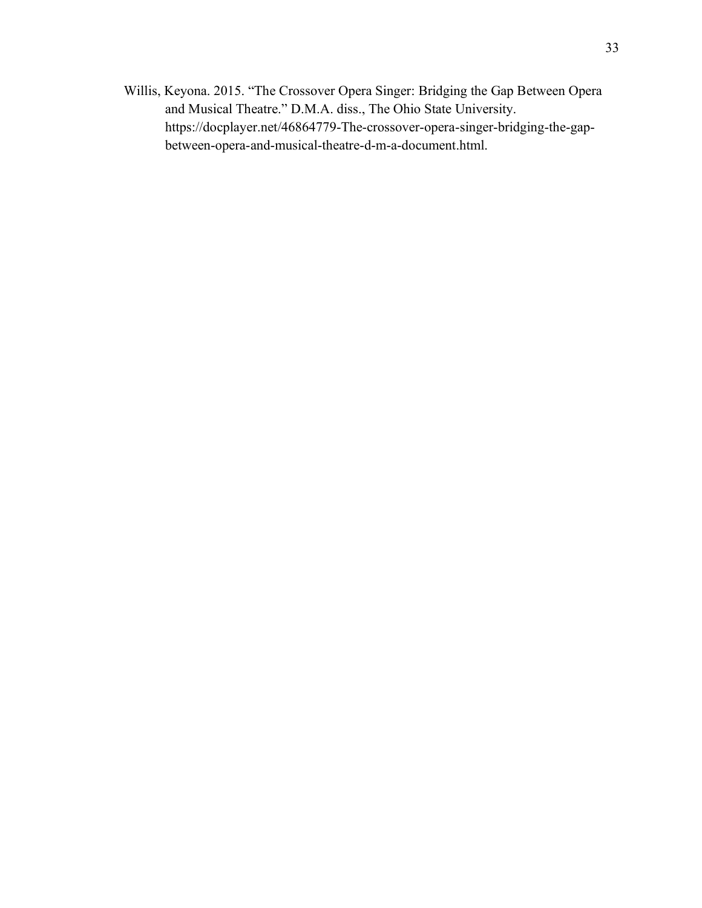Willis, Keyona. 2015. "The Crossover Opera Singer: Bridging the Gap Between Opera and Musical Theatre." D.M.A. diss., The Ohio State University. https://docplayer.net/46864779-The-crossover-opera-singer-bridging-the-gapbetween-opera-and-musical-theatre-d-m-a-document.html.